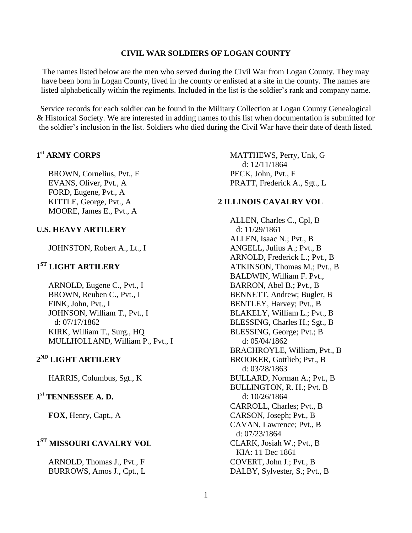#### **CIVIL WAR SOLDIERS OF LOGAN COUNTY**

The names listed below are the men who served during the Civil War from Logan County. They may have been born in Logan County, lived in the county or enlisted at a site in the county. The names are listed alphabetically within the regiments. Included in the list is the soldier's rank and company name.

Service records for each soldier can be found in the Military Collection at Logan County Genealogical & Historical Society. We are interested in adding names to this list when documentation is submitted for the soldier's inclusion in the list. Soldiers who died during the Civil War have their date of death listed.

### **1 st ARMY CORPS**

BROWN, Cornelius, Pvt., F EVANS, Oliver, Pvt., A FORD, Eugene, Pvt., A KITTLE, George, Pvt., A MOORE, James E., Pvt., A

#### **U.S. HEAVY ARTILERY**

JOHNSTON, Robert A., Lt., I

### **1 ST LIGHT ARTILERY**

ARNOLD, Eugene C., Pvt., I BROWN, Reuben C., Pvt., I FINK, John, Pvt., I JOHNSON, William T., Pvt., I d: 07/17/1862 KIRK, William T., Surg., HQ MULLHOLLAND, William P., Pvt., I

### **2 ND LIGHT ARTILERY**

HARRIS, Columbus, Sgt., K

### **1 st TENNESSEE A. D.**

**FOX**, Henry, Capt., A

### **1 ST MISSOURI CAVALRY VOL**

ARNOLD, Thomas J., Pvt., F BURROWS, Amos J., Cpt., L MATTHEWS, Perry, Unk, G d: 12/11/1864 PECK, John, Pvt., F PRATT, Frederick A., Sgt., L

#### **2 ILLINOIS CAVALRY VOL**

ALLEN, Charles C., Cpl, B d: 11/29/1861 ALLEN, Isaac N.; Pvt., B ANGELL, Julius A.; Pvt., B ARNOLD, Frederick L.; Pvt., B ATKINSON, Thomas M.; Pvt., B BALDWIN, William F. Pvt., BARRON, Abel B.; Pvt., B BENNETT, Andrew; Bugler, B BENTLEY, Harvey; Pvt., B BLAKELY, William L.; Pvt., B BLESSING, Charles H.; Sgt., B BLESSING, George; Pvt.; B d: 05/04/1862 BRACHROYLE, William, Pvt., B BROOKER, Gottlieb; Pvt., B d: 03/28/1863 BULLARD, Norman A.; Pvt., B BULLINGTON, R. H.; Pvt. B d: 10/26/1864 CARROLL, Charles; Pvt., B CARSON, Joseph; Pvt., B CAVAN, Lawrence; Pvt., B d: 07/23/1864 CLARK, Josiah W.; Pvt., B KIA: 11 Dec 1861 COVERT, John J.; Pvt., B DALBY, Sylvester, S.; Pvt., B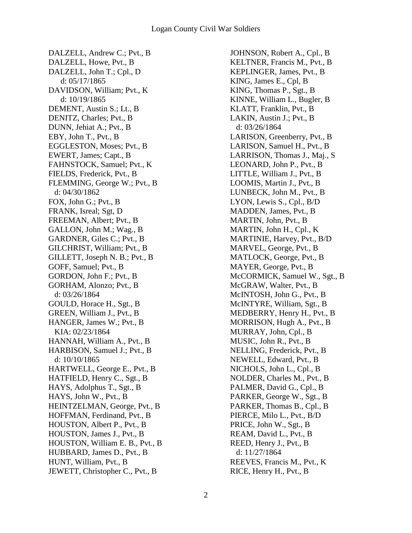DALZELL, Andrew C.; Pvt., B DALZELL, Howe, Pvt., B DALZELL, John T.; Cpl., D d: 05/17/1865 DAVIDSON, William; Pvt., K d: 10/19/1865 DEMENT, Austin S.; Lt., B DENITZ, Charles; Pvt., B DUNN, Jehiat A.; Pvt., B EBY, John T., Pvt., B EGGLESTON, Moses; Pvt., B EWERT, James; Capt., B FAHNSTOCK, Samuel; Pvt., K FIELDS, Frederick, Pvt., B FLEMMING, George W.; Pvt., B d: 04/30/1862 FOX, John G.; Pvt., B FRANK, Isreal; Sgt, D FREEMAN, Albert; Pvt., B GALLON, John M.; Wag., B GARDNER, Giles C.; Pvt., B GILCHRIST, William; Pvt., B GILLETT, Joseph N. B.; Pvt., B GOFF, Samuel; Pvt., B GORDON, John F.; Pvt., B GORHAM, Alonzo; Pvt., B d: 03/26/1864 GOULD, Horace H., Sgt., B GREEN, William J., Pvt., B HANGER, James W.; Pvt., B KIA: 02/23/1864 HANNAH, William A., Pvt., B HARBISON, Samuel J.; Pvt., B d: 10/10/1865 HARTWELL, George E., Pvt., B HATFIELD, Henry C., Sgt., B HAYS, Adolphus T., Sgt., B HAYS, John W., Pvt., B HEINTZELMAN, George, Pvt., B HOFFMAN, Ferdinand, Pvt., B HOUSTON, Albert P., Pvt., B HOUSTON, James J., Pvt., B HOUSTON, William E. B., Pvt., B HUBBARD, James D., Pvt., B HUNT, William, Pvt., B JEWETT, Christopher C., Pvt., B

JOHNSON, Robert A., Cpl., B KELTNER, Francis M., Pvt., B KEPLINGER, James, Pvt., B KING, James E., Cpl, B KING, Thomas P., Sgt., B KINNE, William L., Bugler, B KLATT, Franklin, Pvt., B LAKIN, Austin J.; Pvt., B d: 03/26/1864 LARISON, Greenberry, Pvt., B LARISON, Samuel H., Pvt., B LARRISON, Thomas J., Maj., S LEONARD, John P., Pvt., B LITTLE, William J., Pvt., B LOOMIS, Martin J., Pvt., B LUNBECK, John M., Pvt., B LYON, Lewis S., Cpl., B/D MADDEN, James, Pvt., B MARTIN, John, Pvt., B MARTIN, John H., Cpl., K MARTINIE, Harvey, Pvt., B/D MARVEL, George, Pvt., B MATLOCK, George, Pvt., B MAYER, George, Pvt., B McCORMICK, Samuel W., Sgt., B McGRAW, Walter, Pvt., B McINTOSH, John G., Pvt., B McINTYRE, William, Sgt., B MEDBERRY, Henry H., Pvt., B MORRISON, Hugh A., Pvt., B MURRAY, John, Cpl., B MUSIC, John R., Pvt., B NELLING, Frederick, Pvt., B NEWELL, Edward, Pvt., B NICHOLS, John L., Cpl., B NOLDER, Charles M., Pvt., B PALMER, David G., Cpl., B PARKER, George W., Sgt., B PARKER, Thomas B., Cpl., B PIERCE, Milo L., Pvt., B/D PRICE, John W., Sgt., B REAM, David L., Pvt., B REED, Henry J., Pvt., B d: 11/27/1864 REEVES, Francis M., Pvt., K RICE, Henry H., Pvt., B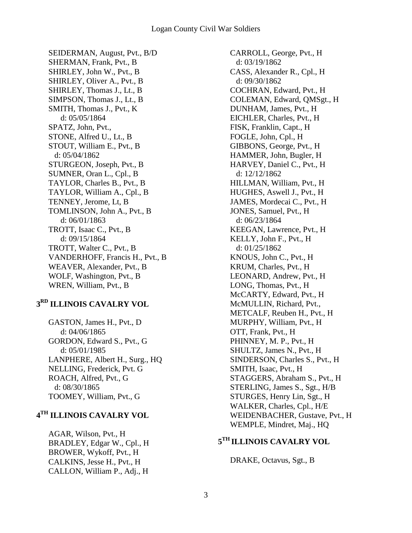SEIDERMAN, August, Pvt., B/D SHERMAN, Frank, Pvt., B SHIRLEY, John W., Pvt., B SHIRLEY, Oliver A., Pvt., B SHIRLEY, Thomas J., Lt., B SIMPSON, Thomas J., Lt., B SMITH, Thomas J., Pvt., K d: 05/05/1864 SPATZ, John, Pvt., STONE, Alfred U., Lt., B STOUT, William E., Pvt., B d: 05/04/1862 STURGEON, Joseph, Pvt., B SUMNER, Oran L., Cpl., B TAYLOR, Charles B., Pvt., B TAYLOR, William A., Cpl., B TENNEY, Jerome, Lt, B TOMLINSON, John A., Pvt., B d: 06/01/1863 TROTT, Isaac C., Pvt., B d: 09/15/1864 TROTT, Walter C., Pvt., B VANDERHOFF, Francis H., Pvt., B WEAVER, Alexander, Pvt., B WOLF, Washington, Pvt., B WREN, William, Pvt., B

### **3 RD ILLINOIS CAVALRY VOL**

GASTON, James H., Pvt., D d: 04/06/1865 GORDON, Edward S., Pvt., G d: 05/01/1985 LANPHERE, Albert H., Surg., HQ NELLING, Frederick, Pvt. G ROACH, Alfred, Pvt., G d: 08/30/1865 TOOMEY, William, Pvt., G

### **4 TH ILLINOIS CAVALRY VOL**

AGAR, Wilson, Pvt., H BRADLEY, Edgar W., Cpl., H BROWER, Wykoff, Pvt., H CALKINS, Jesse H., Pvt., H CALLON, William P., Adj., H

CARROLL, George, Pvt., H d: 03/19/1862 CASS, Alexander R., Cpl., H d: 09/30/1862 COCHRAN, Edward, Pvt., H COLEMAN, Edward, QMSgt., H DUNHAM, James, Pvt., H EICHLER, Charles, Pvt., H FISK, Franklin, Capt., H FOGLE, John, Cpl., H GIBBONS, George, Pvt., H HAMMER, John, Bugler, H HARVEY, Daniel C., Pvt., H d: 12/12/1862 HILLMAN, William, Pvt., H HUGHES, Aswell J., Pvt., H JAMES, Mordecai C., Pvt., H JONES, Samuel, Pvt., H d: 06/23/1864 KEEGAN, Lawrence, Pvt., H KELLY, John F., Pvt., H d: 01/25/1862 KNOUS, John C., Pvt., H KRUM, Charles, Pvt., H LEONARD, Andrew, Pvt., H LONG, Thomas, Pvt., H McCARTY, Edward, Pvt., H McMULLIN, Richard, Pvt., METCALF, Reuben H., Pvt., H MURPHY, William, Pvt., H OTT, Frank, Pvt., H PHINNEY, M. P., Pvt., H SHULTZ, James N., Pvt., H SINDERSON, Charles S., Pvt., H SMITH, Isaac, Pvt., H STAGGERS, Abraham S., Pvt., H STERLING, James S., Sgt., H/B STURGES, Henry Lin, Sgt., H WALKER, Charles, Cpl., H/E WEIDENBACHER, Gustave, Pvt., H WEMPLE, Mindret, Maj., HQ

#### **5 TH ILLINOIS CAVALRY VOL**

DRAKE, Octavus, Sgt., B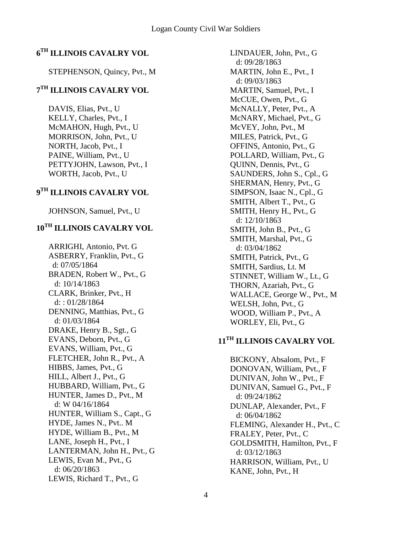# **6 TH ILLINOIS CAVALRY VOL**

STEPHENSON, Quincy, Pvt., M

# **7 TH ILLINOIS CAVALRY VOL**

DAVIS, Elias, Pvt., U KELLY, Charles, Pvt., I McMAHON, Hugh, Pvt., U MORRISON, John, Pvt., U NORTH, Jacob, Pvt., I PAINE, William, Pvt., U PETTYJOHN, Lawson, Pvt., I WORTH, Jacob, Pvt., U

# **9 TH ILLINOIS CAVALRY VOL**

JOHNSON, Samuel, Pvt., U

# **10TH ILLINOIS CAVALRY VOL**

ARRIGHI, Antonio, Pvt. G ASBERRY, Franklin, Pvt., G d: 07/05/1864 BRADEN, Robert W., Pvt., G d: 10/14/1863 CLARK, Brinker, Pvt., H d: : 01/28/1864 DENNING, Matthias, Pvt., G d: 01/03/1864 DRAKE, Henry B., Sgt., G EVANS, Deborn, Pvt., G EVANS, William, Pvt., G FLETCHER, John R., Pvt., A HIBBS, James, Pvt., G HILL, Albert J., Pvt., G HUBBARD, William, Pvt., G HUNTER, James D., Pvt., M d: W 04/16/1864 HUNTER, William S., Capt., G HYDE, James N., Pvt.. M HYDE, William B., Pvt., M LANE, Joseph H., Pvt., I LANTERMAN, John H., Pvt., G LEWIS, Evan M., Pvt., G d: 06/20/1863 LEWIS, Richard T., Pvt., G

LINDAUER, John, Pvt., G d: 09/28/1863 MARTIN, John E., Pvt., I d: 09/03/1863 MARTIN, Samuel, Pvt., I McCUE, Owen, Pvt., G McNALLY, Peter, Pvt., A McNARY, Michael, Pvt., G McVEY, John, Pvt., M MILES, Patrick, Pvt., G OFFINS, Antonio, Pvt., G POLLARD, William, Pvt., G QUINN, Dennis, Pvt., G SAUNDERS, John S., Cpl., G SHERMAN, Henry, Pvt., G SIMPSON, Isaac N., Cpl., G SMITH, Albert T., Pvt., G SMITH, Henry H., Pvt., G d: 12/10/1863 SMITH, John B., Pvt., G SMITH, Marshal, Pvt., G d: 03/04/1862 SMITH, Patrick, Pvt., G SMITH, Sardius, Lt. M STINNET, William W., Lt., G THORN, Azariah, Pvt., G WALLACE, George W., Pvt., M WELSH, John, Pvt., G WOOD, William P., Pvt., A WORLEY, Eli, Pvt., G

# **11TH ILLINOIS CAVALRY VOL**

BICKONY, Absalom, Pvt., F DONOVAN, William, Pvt., F DUNIVAN, John W., Pvt., F DUNIVAN, Samuel G., Pvt., F d: 09/24/1862 DUNLAP, Alexander, Pvt., F d: 06/04/1862 FLEMING, Alexander H., Pvt., C FRALEY, Peter, Pvt., C GOLDSMITH, Hamilton, Pvt., F d: 03/12/1863 HARRISON, William, Pvt., U KANE, John, Pvt., H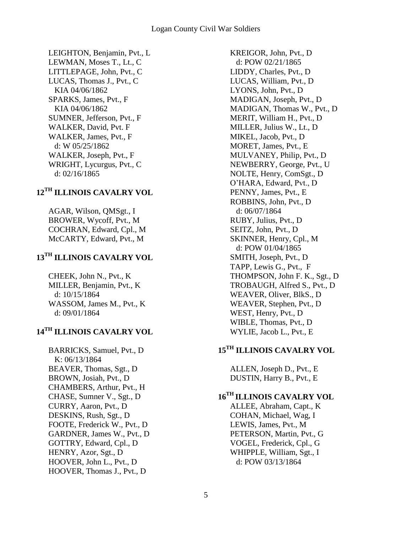LEIGHTON, Benjamin, Pvt., L LEWMAN, Moses T., Lt., C LITTLEPAGE, John, Pvt., C LUCAS, Thomas J., Pvt., C KIA 04/06/1862 SPARKS, James, Pvt., F KIA 04/06/1862 SUMNER, Jefferson, Pvt., F WALKER, David, Pvt. F WALKER, James, Pvt., F d: W 05/25/1862 WALKER, Joseph, Pvt., F WRIGHT, Lycurgus, Pvt., C d: 02/16/1865

# **12TH ILLINOIS CAVALRY VOL**

AGAR, Wilson, QMSgt., I BROWER, Wycoff, Pvt., M COCHRAN, Edward, Cpl., M McCARTY, Edward, Pvt., M

# **13TH ILLINOIS CAVALRY VOL**

CHEEK, John N., Pvt., K MILLER, Benjamin, Pvt., K d: 10/15/1864 WASSOM, James M., Pvt., K d: 09/01/1864

# **14TH ILLINOIS CAVALRY VOL**

BARRICKS, Samuel, Pvt., D K: 06/13/1864 BEAVER, Thomas, Sgt., D BROWN, Josiah, Pvt., D CHAMBERS, Arthur, Pvt., H CHASE, Sumner V., Sgt., D CURRY, Aaron, Pvt., D DESKINS, Rush, Sgt., D FOOTE, Frederick W., Pvt., D GARDNER, James W., Pvt., D GOTTRY, Edward, Cpl., D HENRY, Azor, Sgt., D HOOVER, John L., Pvt., D HOOVER, Thomas J., Pvt., D

KREIGOR, John, Pvt., D d: POW 02/21/1865 LIDDY, Charles, Pvt., D LUCAS, William, Pvt., D LYONS, John, Pvt., D MADIGAN, Joseph, Pvt., D MADIGAN, Thomas W., Pvt., D MERIT, William H., Pvt., D MILLER, Julius W., Lt., D MIKEL, Jacob, Pvt., D MORET, James, Pvt., E MULVANEY, Philip, Pvt., D NEWBERRY, George, Pvt., U NOLTE, Henry, ComSgt., D O'HARA, Edward, Pvt., D PENNY, James, Pvt., E ROBBINS, John, Pvt., D d: 06/07/1864 RUBY, Julius, Pvt., D SEITZ, John, Pvt., D SKINNER, Henry, Cpl., M d: POW 01/04/1865 SMITH, Joseph, Pvt., D TAPP, Lewis G., Pvt., F THOMPSON, John F. K., Sgt., D TROBAUGH, Alfred S., Pvt., D WEAVER, Oliver, BlkS., D WEAVER, Stephen, Pvt., D WEST, Henry, Pvt., D WIBLE, Thomas, Pvt., D WYLIE, Jacob L., Pvt., E

# **15TH ILLINOIS CAVALRY VOL**

ALLEN, Joseph D., Pvt., E DUSTIN, Harry B., Pvt., E

# **16TH ILLINOIS CAVALRY VOL**

ALLEE, Abraham, Capt., K COHAN, Michael, Wag, I LEWIS, James, Pvt., M PETERSON, Martin, Pvt., G VOGEL, Frederick, Cpl., G WHIPPLE, William, Sgt., I d: POW 03/13/1864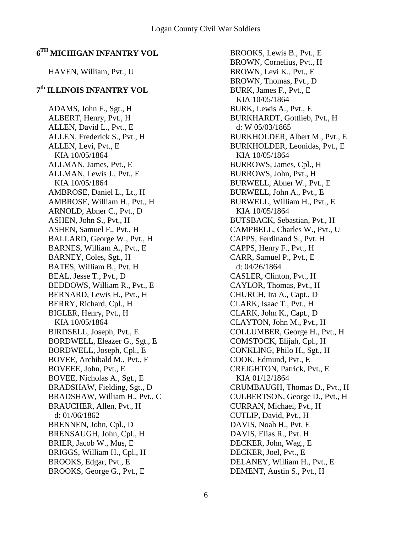### **6 TH MICHIGAN INFANTRY VOL**

#### HAVEN, William, Pvt., U

### **7 th ILLINOIS INFANTRY VOL**

ADAMS, John F., Sgt., H ALBERT, Henry, Pvt., H ALLEN, David L., Pvt., E ALLEN, Frederick S., Pvt., H ALLEN, Levi, Pvt., E KIA 10/05/1864 ALLMAN, James, Pvt., E ALLMAN, Lewis J., Pvt., E KIA 10/05/1864 AMBROSE, Daniel L., Lt., H AMBROSE, William H., Pvt., H ARNOLD, Abner C., Pvt., D ASHEN, John S., Pvt., H ASHEN, Samuel F., Pvt., H BALLARD, George W., Pvt., H BARNES, William A., Pvt., E BARNEY, Coles, Sgt., H BATES, William B., Pvt. H BEAL, Jesse T., Pvt., D BEDDOWS, William R., Pvt., E BERNARD, Lewis H., Pvt., H BERRY, Richard, Cpl., H BIGLER, Henry, Pvt., H KIA 10/05/1864 BIRDSELL, Joseph, Pvt., E BORDWELL, Eleazer G., Sgt., E BORDWELL, Joseph, Cpl., E BOVEE, Archibald M., Pvt., E BOVEEE, John, Pvt., E BOVEE, Nicholas A., Sgt., E BRADSHAW, Fielding, Sgt., D BRADSHAW, William H., Pvt., C BRAUCHER, Allen, Pvt., H d: 01/06/1862 BRENNEN, John, Cpl., D BRENSAUGH, John, Cpl., H BRIER, Jacob W., Mus, E BRIGGS, William H., Cpl., H BROOKS, Edgar, Pvt., E BROOKS, George G., Pvt., E

BROOKS, Lewis B., Pvt., E BROWN, Cornelius, Pvt., H BROWN, Levi K., Pvt., E BROWN, Thomas, Pvt., D BURK, James F., Pvt., E KIA 10/05/1864 BURK, Lewis A., Pvt., E BURKHARDT, Gottlieb, Pvt., H d: W 05/03/1865 BURKHOLDER, Albert M., Pvt., E BURKHOLDER, Leonidas, Pvt., E KIA 10/05/1864 BURROWS, James, Cpl., H BURROWS, John, Pvt., H BURWELL, Abner W., Pvt., E BURWELL, John A., Pvt., E BURWELL, William H., Pvt., E KIA 10/05/1864 BUTSBACK, Sebastian, Pvt., H CAMPBELL, Charles W., Pvt., U CAPPS, Ferdinand S., Pvt. H CAPPS, Henry F., Pvt., H CARR, Samuel P., Pvt., E d: 04/26/1864 CASLER, Clinton, Pvt., H CAYLOR, Thomas, Pvt., H CHURCH, Ira A., Capt., D CLARK, Isaac T., Pvt., H CLARK, John K., Capt., D CLAYTON, John M., Pvt., H COLLUMBER, George H., Pvt., H COMSTOCK, Elijah, Cpl., H CONKLING, Philo H., Sgt., H COOK, Edmund, Pvt., E CREIGHTON, Patrick, Pvt., E KIA 01/12/1864 CRUMBAUGH, Thomas D., Pvt., H CULBERTSON, George D., Pvt., H CURRAN, Michael, Pvt., H CUTLIP, David, Pvt., H DAVIS, Noah H., Pvt. E DAVIS, Elias R., Pvt. H DECKER, John, Wag., E DECKER, Joel, Pvt., E DELANEY, William H., Pvt., E DEMENT, Austin S., Pvt., H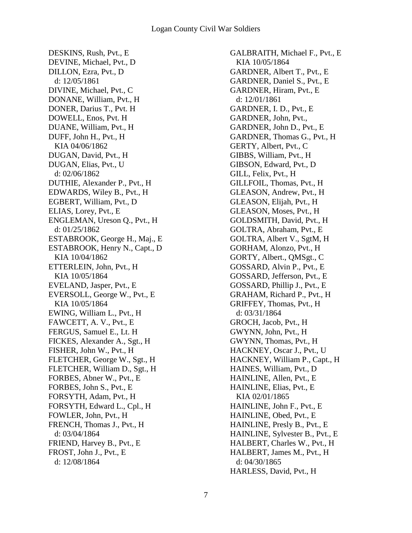DESKINS, Rush, Pvt., E DEVINE, Michael, Pvt., D DILLON, Ezra, Pvt., D d: 12/05/1861 DIVINE, Michael, Pvt., C DONANE, William, Pvt., H DONER, Darius T., Pvt. H DOWELL, Enos, Pvt. H DUANE, William, Pvt., H DUFF, John H., Pvt., H KIA 04/06/1862 DUGAN, David, Pvt., H DUGAN, Elias, Pvt., U d: 02/06/1862 DUTHIE, Alexander P., Pvt., H EDWARDS, Wiley B., Pvt., H EGBERT, William, Pvt., D ELIAS, Lorey, Pvt., E ENGLEMAN, Ureson Q., Pvt., H d: 01/25/1862 ESTABROOK, George H., Maj., E ESTABROOK, Henry N., Capt., D KIA 10/04/1862 ETTERLEIN, John, Pvt., H KIA 10/05/1864 EVELAND, Jasper, Pvt., E EVERSOLL, George W., Pvt., E KIA 10/05/1864 EWING, William L., Pvt., H FAWCETT, A. V., Pvt., E FERGUS, Samuel E., Lt. H FICKES, Alexander A., Sgt., H FISHER, John W., Pvt., H FLETCHER, George W., Sgt., H FLETCHER, William D., Sgt., H FORBES, Abner W., Pvt., E FORBES, John S., Pvt., E FORSYTH, Adam, Pvt., H FORSYTH, Edward L., Cpl., H FOWLER, John, Pvt., H FRENCH, Thomas J., Pvt., H d: 03/04/1864 FRIEND, Harvey B., Pvt., E FROST, John J., Pvt., E d: 12/08/1864

GALBRAITH, Michael F., Pvt., E KIA 10/05/1864 GARDNER, Albert T., Pvt., E GARDNER, Daniel S., Pvt., E GARDNER, Hiram, Pvt., E d: 12/01/1861 GARDNER, I. D., Pvt., E GARDNER, John, Pvt., GARDNER, John D., Pvt., E GARDNER, Thomas G., Pvt., H GERTY, Albert, Pvt., C GIBBS, William, Pvt., H GIBSON, Edward, Pvt., D GILL, Felix, Pvt., H GILLFOIL, Thomas, Pvt., H GLEASON, Andrew, Pvt., H GLEASON, Elijah, Pvt., H GLEASON, Moses, Pvt., H GOLDSMITH, David, Pvt., H GOLTRA, Abraham, Pvt., E GOLTRA, Albert V., SgtM, H GORHAM, Alonzo, Pvt., H GORTY, Albert., QMSgt., C GOSSARD, Alvin P., Pvt., E GOSSARD, Jefferson, Pvt., E GOSSARD, Phillip J., Pvt., E GRAHAM, Richard P., Pvt., H GRIFFEY, Thomas, Pvt., H d: 03/31/1864 GROCH, Jacob, Pvt., H GWYNN, John, Pvt., H GWYNN, Thomas, Pvt., H HACKNEY, Oscar J., Pvt., U HACKNEY, William P., Capt., H HAINES, William, Pvt., D HAINLINE, Allen, Pvt., E HAINLINE, Elias, Pvt., E KIA 02/01/1865 HAINLINE, John F., Pvt., E HAINLINE, Obed, Pvt., E HAINLINE, Presly B., Pvt., E HAINLINE, Sylvester B., Pvt., E HALBERT, Charles W., Pvt., H HALBERT, James M., Pvt., H d: 04/30/1865 HARLESS, David, Pvt., H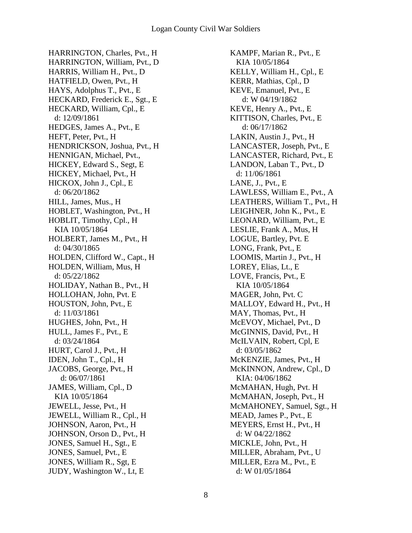HARRINGTON, Charles, Pvt., H HARRINGTON, William, Pvt., D HARRIS, William H., Pvt., D HATFIELD, Owen, Pvt., H HAYS, Adolphus T., Pvt., E HECKARD, Frederick E., Sgt., E HECKARD, William, Cpl., E d: 12/09/1861 HEDGES, James A., Pvt., E HEFT, Peter, Pvt., H HENDRICKSON, Joshua, Pvt., H HENNIGAN, Michael, Pvt., HICKEY, Edward S., Segt, E HICKEY, Michael, Pvt., H HICKOX, John J., Cpl., E d: 06/20/1862 HILL, James, Mus., H HOBLET, Washington, Pvt., H HOBLIT, Timothy, Cpl., H KIA 10/05/1864 HOLBERT, James M., Pvt., H d: 04/30/1865 HOLDEN, Clifford W., Capt., H HOLDEN, William, Mus, H d: 05/22/1862 HOLIDAY, Nathan B., Pvt., H HOLLOHAN, John, Pvt. E HOUSTON, John, Pvt., E d: 11/03/1861 HUGHES, John, Pvt., H HULL, James F., Pvt., E d: 03/24/1864 HURT, Carol J., Pvt., H IDEN, John T., Cpl., H JACOBS, George, Pvt., H d: 06/07/1861 JAMES, William, Cpl., D KIA 10/05/1864 JEWELL, Jesse, Pvt., H JEWELL, William R., Cpl., H JOHNSON, Aaron, Pvt., H JOHNSON, Orson D., Pvt., H JONES, Samuel H., Sgt., E JONES, Samuel, Pvt., E JONES, William R., Sgt, E JUDY, Washington W., Lt, E

KAMPF, Marian R., Pvt., E KIA 10/05/1864 KELLY, William H., Cpl., E KERR, Mathias, Cpl., D KEVE, Emanuel, Pvt., E d: W 04/19/1862 KEVE, Henry A., Pvt., E KITTISON, Charles, Pvt., E d: 06/17/1862 LAKIN, Austin J., Pvt., H LANCASTER, Joseph, Pvt., E LANCASTER, Richard, Pvt., E LANDON, Laban T., Pvt., D d: 11/06/1861 LANE, J., Pvt., E LAWLESS, William E., Pvt., A LEATHERS, William T., Pvt., H LEIGHNER, John K., Pvt., E LEONARD, William, Pvt., E LESLIE, Frank A., Mus, H LOGUE, Bartley, Pvt. E LONG, Frank, Pvt., E LOOMIS, Martin J., Pvt., H LOREY, Elias, Lt., E LOVE, Francis, Pvt., E KIA 10/05/1864 MAGER, John, Pvt. C MALLOY, Edward H., Pvt., H MAY, Thomas, Pvt., H McEVOY, Michael, Pvt., D McGINNIS, David, Pvt., H McILVAIN, Robert, Cpl, E d: 03/05/1862 McKENZIE, James, Pvt., H McKINNON, Andrew, Cpl., D KIA: 04/06/1862 McMAHAN, Hugh, Pvt. H McMAHAN, Joseph, Pvt., H McMAHONEY, Samuel, Sgt., H MEAD, James P., Pvt., E MEYERS, Ernst H., Pvt., H d: W 04/22/1862 MICKLE, John, Pvt., H MILLER, Abraham, Pvt., U MILLER, Ezra M., Pvt., E d: W 01/05/1864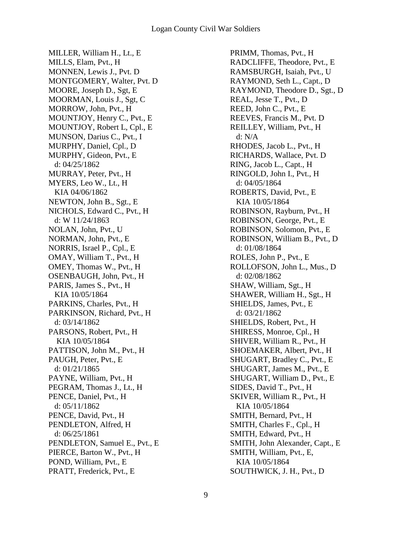MILLER, William H., Lt., E MILLS, Elam, Pvt., H MONNEN, Lewis J., Pvt. D MONTGOMERY, Walter, Pvt. D MOORE, Joseph D., Sgt, E MOORMAN, Louis J., Sgt, C MORROW, John, Pvt., H MOUNTJOY, Henry C., Pvt., E MOUNTJOY, Robert L, Cpl., E MUNSON, Darius C., Pvt., I MURPHY, Daniel, Cpl., D MURPHY, Gideon, Pvt., E d: 04/25/1862 MURRAY, Peter, Pvt., H MYERS, Leo W., Lt., H KIA 04/06/1862 NEWTON, John B., Sgt., E NICHOLS, Edward C., Pvt., H d: W 11/24/1863 NOLAN, John, Pvt., U NORMAN, John, Pvt., E NORRIS, Israel P., Cpl., E OMAY, William T., Pvt., H OMEY, Thomas W., Pvt., H OSENBAUGH, John, Pvt., H PARIS, James S., Pvt., H KIA 10/05/1864 PARKINS, Charles, Pvt., H PARKINSON, Richard, Pvt., H d: 03/14/1862 PARSONS, Robert, Pvt., H KIA 10/05/1864 PATTISON, John M., Pvt., H PAUGH, Peter, Pvt., E d: 01/21/1865 PAYNE, William, Pvt., H PEGRAM, Thomas J., Lt., H PENCE, Daniel, Pvt., H d: 05/11/1862 PENCE, David, Pvt., H PENDLETON, Alfred, H d: 06/25/1861 PENDLETON, Samuel E., Pvt., E PIERCE, Barton W., Pvt., H POND, William, Pvt., E PRATT, Frederick, Pvt., E

PRIMM, Thomas, Pvt., H RADCLIFFE, Theodore, Pvt., E RAMSBURGH, Isaiah, Pvt., U RAYMOND, Seth L., Capt., D RAYMOND, Theodore D., Sgt., D REAL, Jesse T., Pvt., D REED, John C., Pvt., E REEVES, Francis M., Pvt. D REILLEY, William, Pvt., H d: N/A RHODES, Jacob L., Pvt., H RICHARDS, Wallace, Pvt. D RING, Jacob L., Capt., H RINGOLD, John I., Pvt., H d: 04/05/1864 ROBERTS, David, Pvt., E KIA 10/05/1864 ROBINSON, Rayburn, Pvt., H ROBINSON, George, Pvt., E ROBINSON, Solomon, Pvt., E ROBINSON, William B., Pvt., D d: 01/08/1864 ROLES, John P., Pvt., E ROLLOFSON, John L., Mus., D d: 02/08/1862 SHAW, William, Sgt., H SHAWER, William H., Sgt., H SHIELDS, James, Pvt., E d: 03/21/1862 SHIELDS, Robert, Pvt., H SHIRESS, Monroe, Cpl., H SHIVER, William R., Pvt., H SHOEMAKER, Albert, Pvt., H SHUGART, Bradley C., Pvt., E SHUGART, James M., Pvt., E SHUGART, William D., Pvt., E SIDES, David T., Pvt., H SKIVER, William R., Pvt., H KIA 10/05/1864 SMITH, Bernard, Pvt., H SMITH, Charles F., Cpl., H SMITH, Edward, Pvt., H SMITH, John Alexander, Capt., E SMITH, William, Pvt., E, KIA 10/05/1864 SOUTHWICK, J. H., Pvt., D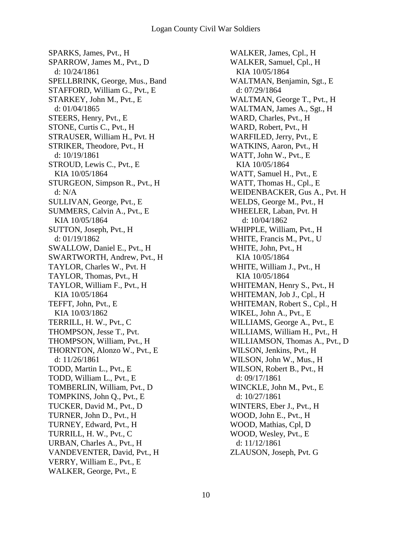SPARKS, James, Pvt., H SPARROW, James M., Pvt., D d: 10/24/1861 SPELLBRINK, George, Mus., Band STAFFORD, William G., Pvt., E STARKEY, John M., Pvt., E d: 01/04/1865 STEERS, Henry, Pvt., E STONE, Curtis C., Pvt., H STRAUSER, William H., Pvt. H STRIKER, Theodore, Pvt., H d: 10/19/1861 STROUD, Lewis C., Pvt., E KIA 10/05/1864 STURGEON, Simpson R., Pvt., H d: N/A SULLIVAN, George, Pvt., E SUMMERS, Calvin A., Pvt., E KIA 10/05/1864 SUTTON, Joseph, Pvt., H d: 01/19/1862 SWALLOW, Daniel E., Pvt., H SWARTWORTH, Andrew, Pvt., H TAYLOR, Charles W., Pvt. H TAYLOR, Thomas, Pvt., H TAYLOR, William F., Pvt., H KIA 10/05/1864 TEFFT, John, Pvt., E KIA 10/03/1862 TERRILL, H. W., Pvt., C THOMPSON, Jesse T., Pvt. THOMPSON, William, Pvt., H THORNTON, Alonzo W., Pvt., E d: 11/26/1861 TODD, Martin L., Pvt., E TODD, William L., Pvt., E TOMBERLIN, William, Pvt., D TOMPKINS, John Q., Pvt., E TUCKER, David M., Pvt., D TURNER, John D., Pvt., H TURNEY, Edward, Pvt., H TURRILL, H. W., Pvt., C URBAN, Charles A., Pvt., H VANDEVENTER, David, Pvt., H VERRY, William E., Pvt., E WALKER, George, Pvt., E

WALKER, James, Cpl., H WALKER, Samuel, Cpl., H KIA 10/05/1864 WALTMAN, Benjamin, Sgt., E d: 07/29/1864 WALTMAN, George T., Pvt., H WALTMAN, James A., Sgt., H WARD, Charles, Pvt., H WARD, Robert, Pvt., H WARFILED, Jerry, Pvt., E WATKINS, Aaron, Pvt., H WATT, John W., Pvt., E KIA 10/05/1864 WATT, Samuel H., Pvt., E WATT, Thomas H., Cpl., E WEIDENBACKER, Gus A., Pvt. H WELDS, George M., Pvt., H WHEELER, Laban, Pvt. H d: 10/04/1862 WHIPPLE, William, Pvt., H WHITE, Francis M., Pvt., U WHITE, John, Pvt., H KIA 10/05/1864 WHITE, William J., Pvt., H KIA 10/05/1864 WHITEMAN, Henry S., Pvt., H WHITEMAN, Job J., Cpl., H WHITEMAN, Robert S., Cpl., H WIKEL, John A., Pvt., E WILLIAMS, George A., Pvt., E WILLIAMS, William H., Pvt., H WILLIAMSON, Thomas A., Pvt., D WILSON, Jenkins, Pvt., H WILSON, John W., Mus., H WILSON, Robert B., Pvt., H d: 09/17/1861 WINCKLE, John M., Pvt., E d: 10/27/1861 WINTERS, Eber J., Pvt., H WOOD, John E., Pvt., H WOOD, Mathias, Cpl, D WOOD, Wesley, Pvt., E d: 11/12/1861 ZLAUSON, Joseph, Pvt. G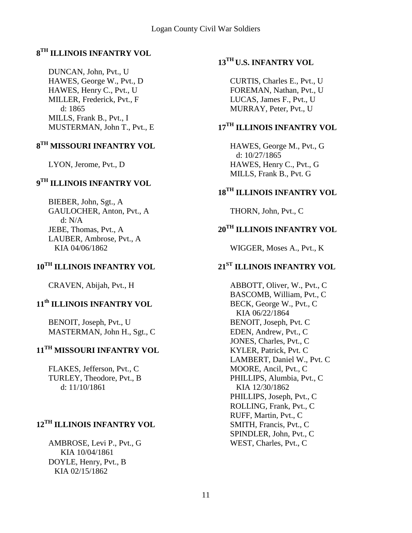### **8 TH ILLINOIS INFANTRY VOL**

DUNCAN, John, Pvt., U HAWES, George W., Pvt., D HAWES, Henry C., Pvt., U MILLER, Frederick, Pvt., F d: 1865 MILLS, Frank B., Pvt., I MUSTERMAN, John T., Pvt., E

### **8 TH MISSOURI INFANTRY VOL**

LYON, Jerome, Pvt., D

### **9 TH ILLINOIS INFANTRY VOL**

BIEBER, John, Sgt., A GAULOCHER, Anton, Pvt., A d: N/A JEBE, Thomas, Pvt., A LAUBER, Ambrose, Pvt., A KIA 04/06/1862

### **10TH ILLINOIS INFANTRY VOL**

CRAVEN, Abijah, Pvt., H

# **11th ILLINOIS INFANTRY VOL**

BENOIT, Joseph, Pvt., U MASTERMAN, John H., Sgt., C

# **11TH MISSOURI INFANTRY VOL**

FLAKES, Jefferson, Pvt., C TURLEY, Theodore, Pvt., B d: 11/10/1861

# **12TH ILLINOIS INFANTRY VOL**

AMBROSE, Levi P., Pvt., G KIA 10/04/1861 DOYLE, Henry, Pvt., B KIA 02/15/1862

### **13TH U.S. INFANTRY VOL**

CURTIS, Charles E., Pvt., U FOREMAN, Nathan, Pvt., U LUCAS, James F., Pvt., U MURRAY, Peter, Pvt., U

### **17TH ILLINOIS INFANTRY VOL**

HAWES, George M., Pvt., G d: 10/27/1865 HAWES, Henry C., Pvt., G MILLS, Frank B., Pvt. G

# **18TH ILLINOIS INFANTRY VOL**

THORN, John, Pvt., C

### **20TH ILLINOIS INFANTRY VOL**

WIGGER, Moses A., Pvt., K

# **21ST ILLINOIS INFANTRY VOL**

ABBOTT, Oliver, W., Pvt., C BASCOMB, William, Pvt., C BECK, George W., Pvt., C KIA 06/22/1864 BENOIT, Joseph, Pvt. C EDEN, Andrew, Pvt., C JONES, Charles, Pvt., C KYLER, Patrick, Pvt. C LAMBERT, Daniel W., Pvt. C MOORE, Ancil, Pvt., C PHILLIPS, Alumbia, Pvt., C KIA 12/30/1862 PHILLIPS, Joseph, Pvt., C ROLLING, Frank, Pvt., C RUFF, Martin, Pvt., C SMITH, Francis, Pvt., C SPINDLER, John, Pvt., C WEST, Charles, Pvt., C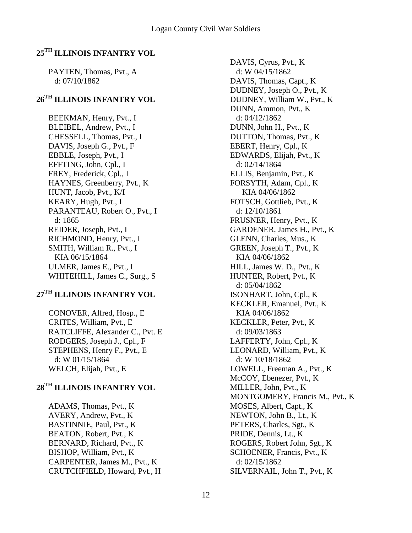# **25TH ILLINOIS INFANTRY VOL**

PAYTEN, Thomas, Pvt., A d: 07/10/1862

### **26TH ILLINOIS INFANTRY VOL**

BEEKMAN, Henry, Pvt., I BLEIBEL, Andrew, Pvt., I CHESSELL, Thomas, Pvt., I DAVIS, Joseph G., Pvt., F EBBLE, Joseph, Pvt., I EFFTING, John, Cpl., I FREY, Frederick, Cpl., I HAYNES, Greenberry, Pvt., K HUNT, Jacob, Pvt., K/I KEARY, Hugh, Pvt., I PARANTEAU, Robert O., Pvt., I d: 1865 REIDER, Joseph, Pvt., I RICHMOND, Henry, Pvt., I SMITH, William R., Pvt., I KIA 06/15/1864 ULMER, James E., Pvt., I WHITEHILL, James C., Surg., S

### **27TH ILLINOIS INFANTRY VOL**

CONOVER, Alfred, Hosp., E CRITES, William, Pvt., E RATCLIFFE, Alexander C., Pvt. E RODGERS, Joseph J., Cpl., F STEPHENS, Henry F., Pvt., E d: W 01/15/1864 WELCH, Elijah, Pvt., E

### **28TH ILLINOIS INFANTRY VOL**

ADAMS, Thomas, Pvt., K AVERY, Andrew, Pvt., K BASTINNIE, Paul, Pvt., K BEATON, Robert, Pvt., K BERNARD, Richard, Pvt., K BISHOP, William, Pvt., K CARPENTER, James M., Pvt., K CRUTCHFIELD, Howard, Pvt., H

DAVIS, Cyrus, Pvt., K d: W 04/15/1862 DAVIS, Thomas, Capt., K DUDNEY, Joseph O., Pvt., K DUDNEY, William W., Pvt., K DUNN, Ammon, Pvt., K d: 04/12/1862 DUNN, John H., Pvt., K DUTTON, Thomas, Pvt., K EBERT, Henry, Cpl., K EDWARDS, Elijah, Pvt., K d: 02/14/1864 ELLIS, Benjamin, Pvt., K FORSYTH, Adam, Cpl., K KIA 04/06/1862 FOTSCH, Gottlieb, Pvt., K d: 12/10/1861 FRUSNER, Henry, Pvt., K GARDENER, James H., Pvt., K GLENN, Charles, Mus., K GREEN, Joseph T., Pvt., K KIA 04/06/1862 HILL, James W. D., Pvt., K HUNTER, Robert, Pvt., K d: 05/04/1862 ISONHART, John, Cpl., K KECKLER, Emanuel, Pvt., K KIA 04/06/1862 KECKLER, Peter, Pvt., K d: 09/03/1863 LAFFERTY, John, Cpl., K LEONARD, William, Pvt., K d: W 10/18/1862 LOWELL, Freeman A., Pvt., K McCOY, Ebenezer, Pvt., K MILLER, John, Pvt., K MONTGOMERY, Francis M., Pvt., K MOSES, Albert, Capt., K NEWTON, John B., Lt., K PETERS, Charles, Sgt., K PRIDE, Dennis, Lt., K ROGERS, Robert John, Sgt., K SCHOENER, Francis, Pvt., K d: 02/15/1862 SILVERNAIL, John T., Pvt., K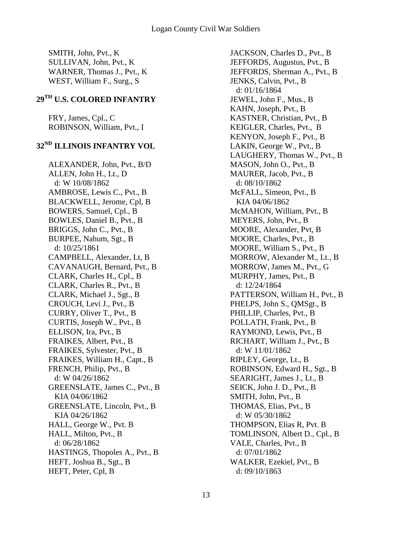SMITH, John, Pvt., K SULLIVAN, John, Pvt., K WARNER, Thomas J., Pvt., K WEST, William F., Surg., S

# **29TH U.S. COLORED INFANTRY**

FRY, James, Cpl., C ROBINSON, William, Pvt., I

### **32ND ILLINOIS INFANTRY VOL**

ALEXANDER, John, Pvt., B/D ALLEN, John H., Lt., D d: W 10/08/1862 AMBROSE, Lewis C., Pvt., B BLACKWELL, Jerome, Cpl, B BOWERS, Samuel, Cpl., B BOWLES, Daniel B., Pvt., B BRIGGS, John C., Pvt., B BURPEE, Nahum, Sgt., B d: 10/25/1861 CAMPBELL, Alexander, Lt, B CAVANAUGH, Bernard, Pvt., B CLARK, Charles H., Cpl., B CLARK, Charles R., Pvt., B CLARK, Michael J., Sgt., B CROUCH, Levi J., Pvt., B CURRY, Oliver T., Pvt., B CURTIS, Joseph W., Pvt., B ELLISON, Ira, Pvt., B FRAIKES, Albert, Pvt., B FRAIKES, Sylvester, Pvt., B FRAIKES, William H., Capt., B FRENCH, Philip, Pvt., B d: W 04/26/1862 GREENSLATE, James C., Pvt., B KIA 04/06/1862 GREENSLATE, Lincoln, Pvt., B KIA 04/26/1862 HALL, George W., Pvt. B HALL, Milton, Pvt., B d: 06/28/1862 HASTINGS, Thopoles A., Pvt., B HEFT, Joshua B., Sgt., B HEFT, Peter, Cpl, B

JACKSON, Charles D., Pvt., B JEFFORDS, Augustus, Pvt., B JEFFORDS, Sherman A., Pvt., B JENKS, Calvin, Pvt., B d: 01/16/1864 JEWEL, John F., Mus., B KAHN, Joseph, Pvt., B KASTNER, Christian, Pvt., B KEIGLER, Charles, Pvt., B KENYON, Joseph F., Pvt., B LAKIN, George W., Pvt., B LAUGHERY, Thomas W., Pvt., B MASON, John O., Pvt., B MAURER, Jacob, Pvt., B d: 08/10/1862 McFALL, Simeon, Pvt., B KIA 04/06/1862 McMAHON, William, Pvt., B MEYERS, John, Pvt., B MOORE, Alexander, Pvt, B MOORE, Charles, Pvt., B MOORE, William S., Pvt., B MORROW, Alexander M., Lt., B MORROW, James M., Pvt., G MURPHY, James, Pvt., B d: 12/24/1864 PATTERSON, William H., Pvt., B PHELPS, John S., QMSgt., B PHILLIP, Charles, Pvt., B POLLATH, Frank, Pvt., B RAYMOND, Lewis, Pvt., B RICHART, William J., Pvt., B d: W 11/01/1862 RIPLEY, George, Lt., B ROBINSON, Edward H., Sgt., B SEARIGHT, James J., Lt., B SEICK, John J. D., Pvt., B SMITH, John, Pvt., B THOMAS, Elias, Pvt., B d: W 05/30/1862 THOMPSON, Elias R, Pvt. B TOMLINSON, Albert D., Cpl., B VALE, Charles, Pvt., B d: 07/01/1862 WALKER, Ezekiel, Pvt., B d: 09/10/1863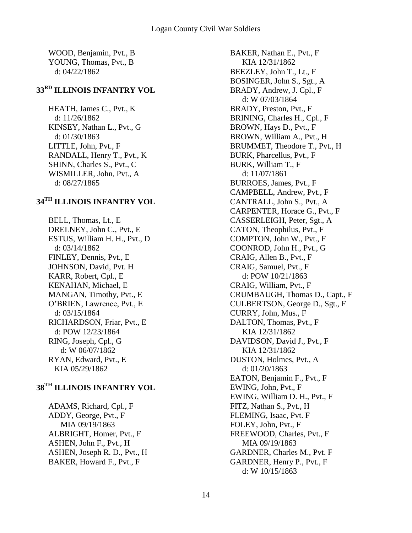WOOD, Benjamin, Pvt., B YOUNG, Thomas, Pvt., B d: 04/22/1862

### **33RD ILLINOIS INFANTRY VOL**

HEATH, James C., Pvt., K d: 11/26/1862 KINSEY, Nathan L., Pvt., G d: 01/30/1863 LITTLE, John, Pvt., F RANDALL, Henry T., Pvt., K SHINN, Charles S., Pvt., C WISMILLER, John, Pvt., A d: 08/27/1865

### **34TH ILLINOIS INFANTRY VOL**

BELL, Thomas, Lt., E DRELNEY, John C., Pvt., E ESTUS, William H. H., Pvt., D d: 03/14/1862 FINLEY, Dennis, Pvt., E JOHNSON, David, Pvt. H KARR, Robert, Cpl., E KENAHAN, Michael, E MANGAN, Timothy, Pvt., E O'BRIEN, Lawrence, Pvt., E d: 03/15/1864 RICHARDSON, Friar, Pvt., E d: POW 12/23/1864 RING, Joseph, Cpl., G d: W 06/07/1862 RYAN, Edward, Pvt., E KIA 05/29/1862

# **38TH ILLINOIS INFANTRY VOL**

ADAMS, Richard, Cpl., F ADDY, George, Pvt., F MIA 09/19/1863 ALBRIGHT, Homer, Pvt., F ASHEN, John F., Pvt., H ASHEN, Joseph R. D., Pvt., H BAKER, Howard F., Pvt., F

BAKER, Nathan E., Pvt., F KIA 12/31/1862 BEEZLEY, John T., Lt., F BOSINGER, John S., Sgt., A BRADY, Andrew, J. Cpl., F d: W 07/03/1864 BRADY, Preston, Pvt., F BRINING, Charles H., Cpl., F BROWN, Hays D., Pvt., F BROWN, William A., Pvt., H BRUMMET, Theodore T., Pvt., H BURK, Pharcellus, Pvt., F BURK, William T., F d: 11/07/1861 BURROES, James, Pvt., F CAMPBELL, Andrew, Pvt., F CANTRALL, John S., Pvt., A CARPENTER, Horace G., Pvt., F CASSERLEIGH, Peter, Sgt., A CATON, Theophilus, Pvt., F COMPTON, John W., Pvt., F COONROD, John H., Pvt., G CRAIG, Allen B., Pvt., F CRAIG, Samuel, Pvt., F d: POW 10/21/1863 CRAIG, William, Pvt., F CRUMBAUGH, Thomas D., Capt., F CULBERTSON, George D., Sgt., F CURRY, John, Mus., F DALTON, Thomas, Pvt., F KIA 12/31/1862 DAVIDSON, David J., Pvt., F KIA 12/31/1862 DUSTON, Holmes, Pvt., A d: 01/20/1863 EATON, Benjamin F., Pvt., F EWING, John, Pvt., F EWING, William D. H., Pvt., F FITZ, Nathan S., Pvt., H FLEMING, Isaac, Pvt. F FOLEY, John, Pvt., F FREEWOOD, Charles, Pvt., F MIA 09/19/1863 GARDNER, Charles M., Pvt. F GARDNER, Henry P., Pvt., F d: W 10/15/1863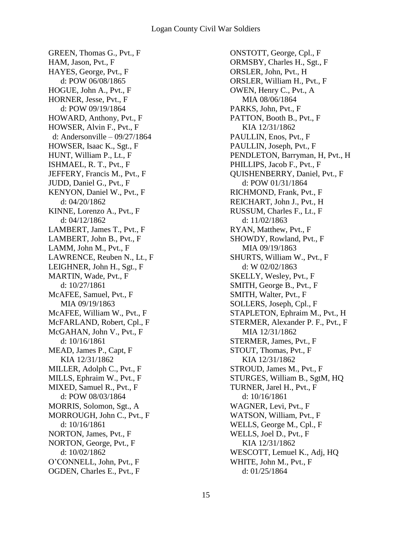GREEN, Thomas G., Pvt., F HAM, Jason, Pvt., F HAYES, George, Pvt., F d: POW 06/08/1865 HOGUE, John A., Pvt., F HORNER, Jesse, Pvt., F d: POW 09/19/1864 HOWARD, Anthony, Pvt., F HOWSER, Alvin F., Pvt., F d: Andersonville – 09/27/1864 HOWSER, Isaac K., Sgt., F HUNT, William P., Lt., F ISHMAEL, R. T., Pvt., F JEFFERY, Francis M., Pvt., F JUDD, Daniel G., Pvt., F KENYON, Daniel W., Pvt., F d: 04/20/1862 KINNE, Lorenzo A., Pvt., F d: 04/12/1862 LAMBERT, James T., Pvt., F LAMBERT, John B., Pvt., F LAMM, John M., Pvt., F LAWRENCE, Reuben N., Lt., F LEIGHNER, John H., Sgt., F MARTIN, Wade, Pvt., F d: 10/27/1861 McAFEE, Samuel, Pvt., F MIA 09/19/1863 McAFEE, William W., Pvt., F McFARLAND, Robert, Cpl., F McGAHAN, John V., Pvt., F d: 10/16/1861 MEAD, James P., Capt, F KIA 12/31/1862 MILLER, Adolph C., Pvt., F MILLS, Ephraim W., Pvt., F MIXED, Samuel R., Pvt., F d: POW 08/03/1864 MORRIS, Solomon, Sgt., A MORROUGH, John C., Pvt., F d: 10/16/1861 NORTON, James, Pvt., F NORTON, George, Pvt., F d: 10/02/1862 O'CONNELL, John, Pvt., F OGDEN, Charles E., Pvt., F

ONSTOTT, George, Cpl., F ORMSBY, Charles H., Sgt., F ORSLER, John, Pvt., H ORSLER, William H., Pvt., F OWEN, Henry C., Pvt., A MIA 08/06/1864 PARKS, John, Pvt., F PATTON, Booth B., Pvt., F KIA 12/31/1862 PAULLIN, Enos, Pvt., F PAULLIN, Joseph, Pvt., F PENDLETON, Barryman, H, Pvt., H PHILLIPS, Jacob F., Pvt., F QUISHENBERRY, Daniel, Pvt., F d: POW 01/31/1864 RICHMOND, Frank, Pvt., F REICHART, John J., Pvt., H RUSSUM, Charles F., Lt., F d: 11/02/1863 RYAN, Matthew, Pvt., F SHOWDY, Rowland, Pvt., F MIA 09/19/1863 SHURTS, William W., Pvt., F d: W 02/02/1863 SKELLY, Wesley, Pvt., F SMITH, George B., Pvt., F SMITH, Walter, Pvt., F SOLLERS, Joseph, Cpl., F STAPLETON, Ephraim M., Pvt., H STERMER, Alexander P. F., Pvt., F MIA 12/31/1862 STERMER, James, Pvt., F STOUT, Thomas, Pvt., F KIA 12/31/1862 STROUD, James M., Pvt., F STURGES, William B., SgtM, HQ TURNER, Jarel H., Pvt., F d: 10/16/1861 WAGNER, Levi, Pvt., F WATSON, William, Pvt., F WELLS, George M., Cpl., F WELLS, Joel D., Pvt., F KIA 12/31/1862 WESCOTT, Lemuel K., Adj, HQ WHITE, John M., Pvt., F d: 01/25/1864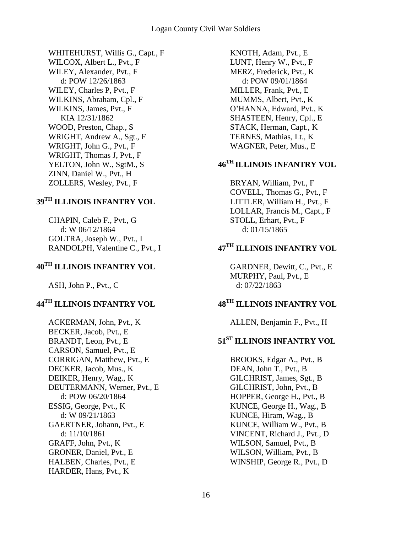WHITEHURST, Willis G., Capt., F WILCOX, Albert L., Pvt., F WILEY, Alexander, Pvt., F d: POW 12/26/1863 WILEY, Charles P, Pvt., F WILKINS, Abraham, Cpl., F WILKINS, James, Pvt., F KIA 12/31/1862 WOOD, Preston, Chap., S WRIGHT, Andrew A., Sgt., F WRIGHT, John G., Pvt., F WRIGHT, Thomas J, Pvt., F YELTON, John W., SgtM., S ZINN, Daniel W., Pvt., H ZOLLERS, Wesley, Pvt., F

### **39TH ILLINOIS INFANTRY VOL**

CHAPIN, Caleb F., Pvt., G d: W 06/12/1864 GOLTRA, Joseph W., Pvt., I RANDOLPH, Valentine C., Pvt., I

# **40TH ILLINOIS INFANTRY VOL**

ASH, John P., Pvt., C

# **44TH ILLINOIS INFANTRY VOL**

ACKERMAN, John, Pvt., K BECKER, Jacob, Pvt., E BRANDT, Leon, Pvt., E CARSON, Samuel, Pvt., E CORRIGAN, Matthew, Pvt., E DECKER, Jacob, Mus., K DEIKER, Henry, Wag., K DEUTERMANN, Werner, Pvt., E d: POW 06/20/1864 ESSIG, George, Pvt., K d: W 09/21/1863 GAERTNER, Johann, Pvt., E d: 11/10/1861 GRAFF, John, Pvt., K GRONER, Daniel, Pvt., E HALBEN, Charles, Pvt., E HARDER, Hans, Pvt., K

KNOTH, Adam, Pvt., E LUNT, Henry W., Pvt., F MERZ, Frederick, Pvt., K d: POW 09/01/1864 MILLER, Frank, Pvt., E MUMMS, Albert, Pvt., K O'HANNA, Edward, Pvt., K SHASTEEN, Henry, Cpl., E STACK, Herman, Capt., K TERNES, Mathias, Lt., K WAGNER, Peter, Mus., E

# **46TH ILLINOIS INFANTRY VOL**

BRYAN, William, Pvt., F COVELL, Thomas G., Pvt., F LITTLER, William H., Pvt., F LOLLAR, Francis M., Capt., F STOLL, Erhart, Pvt., F d: 01/15/1865

# **47TH ILLINOIS INFANTRY VOL**

GARDNER, Dewitt, C., Pvt., E MURPHY, Paul, Pvt., E d: 07/22/1863

# **48TH ILLINOIS INFANTRY VOL**

ALLEN, Benjamin F., Pvt., H

### **51ST ILLINOIS INFANTRY VOL**

BROOKS, Edgar A., Pvt., B DEAN, John T., Pvt., B GILCHRIST, James, Sgt., B GILCHRIST, John, Pvt., B HOPPER, George H., Pvt., B KUNCE, George H., Wag., B KUNCE, Hiram, Wag., B KUNCE, William W., Pvt., B VINCENT, Richard J., Pvt., D WILSON, Samuel, Pvt., B WILSON, William, Pvt., B WINSHIP, George R., Pvt., D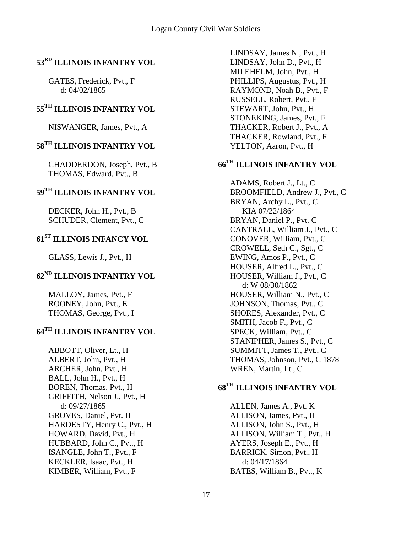### **53RD ILLINOIS INFANTRY VOL**

GATES, Frederick, Pvt., F d: 04/02/1865

### **55TH ILLINOIS INFANTRY VOL**

NISWANGER, James, Pvt., A

# **58TH ILLINOIS INFANTRY VOL**

CHADDERDON, Joseph, Pvt., B THOMAS, Edward, Pvt., B

#### **59TH ILLINOIS INFANTRY VOL**

DECKER, John H., Pvt., B SCHUDER, Clement, Pvt., C

# **61ST ILLINOIS INFANCY VOL**

GLASS, Lewis J., Pvt., H

# **62ND ILLINOIS INFANTRY VOL**

MALLOY, James, Pvt., F ROONEY, John, Pvt., E THOMAS, George, Pvt., I

# **64TH ILLINOIS INFANTRY VOL**

ABBOTT, Oliver, Lt., H ALBERT, John, Pvt., H ARCHER, John, Pvt., H BALL, John H., Pvt., H BOREN, Thomas, Pvt., H GRIFFITH, Nelson J., Pvt., H d: 09/27/1865 GROVES, Daniel, Pvt. H HARDESTY, Henry C., Pvt., H HOWARD, David, Pvt., H HUBBARD, John C., Pvt., H ISANGLE, John T., Pvt., F KECKLER, Isaac, Pvt., H KIMBER, William, Pvt., F

LINDSAY, James N., Pvt., H LINDSAY, John D., Pvt., H MILEHELM, John, Pvt., H PHILLIPS, Augustus, Pvt., H RAYMOND, Noah B., Pvt., F RUSSELL, Robert, Pvt., F STEWART, John, Pvt., H STONEKING, James, Pvt., F THACKER, Robert J., Pvt., A THACKER, Rowland, Pvt., F YELTON, Aaron, Pvt., H

# **66TH ILLINOIS INFANTRY VOL**

ADAMS, Robert J., Lt., C BROOMFIELD, Andrew J., Pvt., C BRYAN, Archy L., Pvt., C KIA 07/22/1864 BRYAN, Daniel P., Pvt. C CANTRALL, William J., Pvt., C CONOVER, William, Pvt., C CROWELL, Seth C., Sgt., C EWING, Amos P., Pvt., C HOUSER, Alfred L., Pvt., C HOUSER, William J., Pvt., C d: W 08/30/1862 HOUSER, William N., Pvt., C JOHNSON, Thomas, Pvt., C SHORES, Alexander, Pvt., C SMITH, Jacob F., Pvt., C SPECK, William, Pvt., C STANIPHER, James S., Pvt., C SUMMITT, James T., Pvt., C THOMAS, Johnson, Pvt., C 1878 WREN, Martin, Lt., C

# **68TH ILLINOIS INFANTRY VOL**

ALLEN, James A., Pvt. K ALLISON, James, Pvt., H ALLISON, John S., Pvt., H ALLISON, William T., Pvt., H AYERS, Joseph E., Pvt., H BARRICK, Simon, Pvt., H d: 04/17/1864 BATES, William B., Pvt., K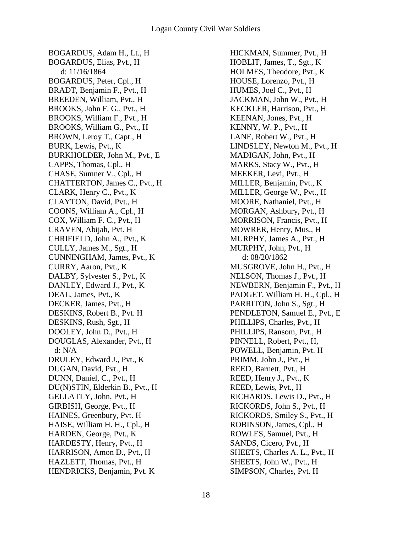BOGARDUS, Adam H., Lt., H BOGARDUS, Elias, Pvt., H d: 11/16/1864 BOGARDUS, Peter, Cpl., H BRADT, Benjamin F., Pvt., H BREEDEN, William, Pvt., H BROOKS, John F. G., Pvt., H BROOKS, William F., Pvt., H BROOKS, William G., Pvt., H BROWN, Leroy T., Capt., H BURK, Lewis, Pvt., K BURKHOLDER, John M., Pvt., E CAPPS, Thomas, Cpl., H CHASE, Sumner V., Cpl., H CHATTERTON, James C., Pvt., H CLARK, Henry C., Pvt., K CLAYTON, David, Pvt., H COONS, William A., Cpl., H COX, William F. C., Pvt., H CRAVEN, Abijah, Pvt. H CHRIFIELD, John A., Pvt., K CULLY, James M., Sgt., H CUNNINGHAM, James, Pvt., K CURRY, Aaron, Pvt., K DALBY, Sylvester S., Pvt., K DANLEY, Edward J., Pvt., K DEAL, James, Pvt., K DECKER, James, Pvt., H DESKINS, Robert B., Pvt. H DESKINS, Rush, Sgt., H DOOLEY, John D., Pvt., H DOUGLAS, Alexander, Pvt., H d: N/A DRULEY, Edward J., Pvt., K DUGAN, David, Pvt., H DUNN, Daniel, C., Pvt., H DU(N)STIN, Elderkin B., Pvt., H GELLATLY, John, Pvt., H GIRBISH, George, Pvt., H HAINES, Greenbury, Pvt. H HAISE, William H. H., Cpl., H HARDEN, George, Pvt., K HARDESTY, Henry, Pvt., H HARRISON, Amon D., Pvt., H HAZLETT, Thomas, Pvt., H HENDRICKS, Benjamin, Pvt. K

HICKMAN, Summer, Pvt., H HOBLIT, James, T., Sgt., K HOLMES, Theodore, Pvt., K HOUSE, Lorenzo, Pvt., H HUMES, Joel C., Pvt., H JACKMAN, John W., Pvt., H KECKLER, Harrison, Pvt., H KEENAN, Jones, Pvt., H KENNY, W. P., Pvt., H LANE, Robert W., Pvt., H LINDSLEY, Newton M., Pvt., H MADIGAN, John, Pvt., H MARKS, Stacy W., Pvt., H MEEKER, Levi, Pvt., H MILLER, Benjamin, Pvt., K MILLER, George W., Pvt., H MOORE, Nathaniel, Pvt., H MORGAN, Ashbury, Pvt., H MORRISON, Francis, Pvt., H MOWRER, Henry, Mus., H MURPHY, James A., Pvt., H MURPHY, John, Pvt., H d: 08/20/1862 MUSGROVE, John H., Pvt., H NELSON, Thomas J., Pvt., H NEWBERN, Benjamin F., Pvt., H PADGET, William H. H., Cpl., H PARRITON, John S., Sgt., H PENDLETON, Samuel E., Pvt., E PHILLIPS, Charles, Pvt., H PHILLIPS, Ransom, Pvt., H PINNELL, Robert, Pvt., H, POWELL, Benjamin, Pvt. H PRIMM, John J., Pvt., H REED, Barnett, Pvt., H REED, Henry J., Pvt., K REED, Lewis, Pvt., H RICHARDS, Lewis D., Pvt., H RICKORDS, John S., Pvt., H RICKORDS, Smiley S., Pvt., H ROBINSON, James, Cpl., H ROWLES, Samuel, Pvt., H SANDS, Cicero, Pvt., H SHEETS, Charles A. L., Pvt., H SHEETS, John W., Pvt., H SIMPSON, Charles, Pvt. H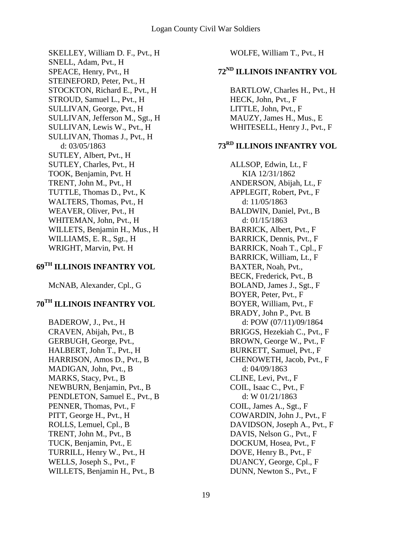SKELLEY, William D. F., Pvt., H SNELL, Adam, Pvt., H SPEACE, Henry, Pvt., H STEINEFORD, Peter, Pvt., H STOCKTON, Richard E., Pvt., H STROUD, Samuel L., Pvt., H SULLIVAN, George, Pvt., H SULLIVAN, Jefferson M., Sgt., H SULLIVAN, Lewis W., Pvt., H SULLIVAN, Thomas J., Pvt., H d: 03/05/1863 SUTLEY, Albert, Pvt., H SUTLEY, Charles, Pvt., H TOOK, Benjamin, Pvt. H TRENT, John M., Pvt., H TUTTLE, Thomas D., Pvt., K WALTERS, Thomas, Pvt., H WEAVER, Oliver, Pvt., H WHITEMAN, John, Pvt., H WILLETS, Benjamin H., Mus., H WILLIAMS, E. R., Sgt., H WRIGHT, Marvin, Pvt. H

### **69TH ILLINOIS INFANTRY VOL**

McNAB, Alexander, Cpl., G

# **70TH ILLINOIS INFANTRY VOL**

BADEROW, J., Pvt., H CRAVEN, Abijah, Pvt., B GERBUGH, George, Pvt., HALBERT, John T., Pvt., H HARRISON, Amos D., Pvt., B MADIGAN, John, Pvt., B MARKS, Stacy, Pvt., B NEWBURN, Benjamin, Pvt., B PENDLETON, Samuel E., Pvt., B PENNER, Thomas, Pvt., F PITT, George H., Pvt., H ROLLS, Lemuel, Cpl., B TRENT, John M., Pvt., B TUCK, Benjamin, Pvt., E TURRILL, Henry W., Pvt., H WELLS, Joseph S., Pvt., F WILLETS, Benjamin H., Pvt., B

WOLFE, William T., Pvt., H

# **72ND ILLINOIS INFANTRY VOL**

BARTLOW, Charles H., Pvt., H HECK, John, Pvt., F LITTLE, John, Pvt., F MAUZY, James H., Mus., E WHITESELL, Henry J., Pvt., F

# **73RD ILLINOIS INFANTRY VOL**

ALLSOP, Edwin, Lt., F KIA 12/31/1862 ANDERSON, Abijah, Lt., F APPLEGIT, Robert, Pvt., F d: 11/05/1863 BALDWIN, Daniel, Pvt., B d: 01/15/1863 BARRICK, Albert, Pvt., F BARRICK, Dennis, Pvt., F BARRICK, Noah T., Cpl., F BARRICK, William, Lt., F BAXTER, Noah, Pvt., BECK, Frederick, Pvt., B BOLAND, James J., Sgt., F BOYER, Peter, Pvt., F BOYER, William, Pvt., F BRADY, John P., Pvt. B d: POW (07/11)/09/1864 BRIGGS, Hezekiah C., Pvt., F BROWN, George W., Pvt., F BURKETT, Samuel, Pvt., F CHENOWETH, Jacob, Pvt., F d: 04/09/1863 CLINE, Levi, Pvt., F COIL, Isaac C., Pvt., F d: W 01/21/1863 COIL, James A., Sgt., F COWARDIN, John J., Pvt., F DAVIDSON, Joseph A., Pvt., F DAVIS, Nelson G., Pvt., F DOCKUM, Hosea, Pvt., F DOVE, Henry B., Pvt., F DUANCY, George, Cpl., F DUNN, Newton S., Pvt., F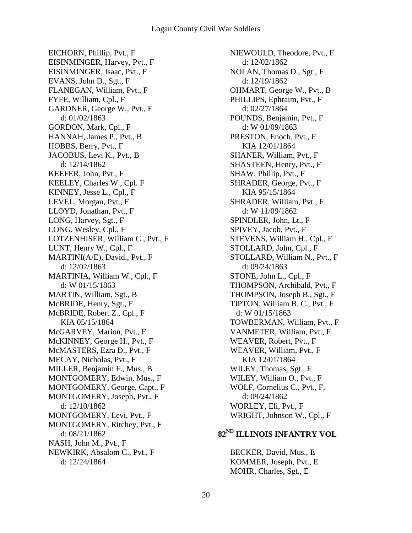EICHORN, Phillip, Pvt., F EISINMINGER, Harvey, Pvt., F EISINMINGER, Isaac, Pvt., F EVANS, John D., Sgt., F FLANEGAN, William, Pvt., F FYFE, William, Cpl., F GARDNER, George W., Pvt., F d: 01/02/1863 GORDON, Mark, Cpl., F HANNAH, James P., Pvt., B HOBBS, Berry, Pvt., F JACOBUS, Levi K., Pvt., B d: 12/14/1862 KEEFER, John, Pvt., F KEELEY, Charles W., Cpl. F KINNEY, Jesse L., Cpl., F LEVEL, Morgan, Pvt., F LLOYD, Jonathan, Pvt., F LONG, Harvey, Sgt., F LONG, Wesley, Cpl., F LOTZENHISER, William C., Pvt., F LUNT, Henry W., Cpl., F MARTINI(A/E), David., Pvt., F d: 12/02/1863 MARTINIA, William W., Cpl., F d: W 01/15/1863 MARTIN, William, Sgt., B McBRIDE, Henry, Sgt., F McBRIDE, Robert Z., Cpl., F KIA 05/15/1864 McGARVEY, Marion, Pvt., F McKINNEY, George H., Pvt., F McMASTERS, Ezra D., Pvt., F MECAY, Nicholas, Pvt., F MILLER, Benjamin F., Mus., B MONTGOMERY, Edwin, Mus., F MONTGOMERY, George, Capt., F MONTGOMERY, Joseph, Pvt., F d: 12/10/1862 MONTGOMERY, Levi, Pvt., F MONTGOMERY, Ritchey, Pvt., F d: 08/21/1862 NASH, John M., Pvt., F NEWKIRK, Absalom C., Pvt., F d: 12/24/1864

NIEWOULD, Theodore, Pvt., F d: 12/02/1862 NOLAN, Thomas D., Sgt., F d: 12/19/1862 OHMART, George W., Pvt., B PHILLIPS, Ephraim, Pvt., F d: 02/27/1864 POUNDS, Benjamin, Pvt., F d: W 01/09/1863 PRESTON, Enoch, Pvt., F KIA 12/01/1864 SHANER, William, Pvt., F SHASTEEN, Henry, Pvt., F SHAW, Phillip, Pvt., F SHRADER, George, Pvt., F KIA 95/15/1864 SHRADER, William, Pvt., F d: W 11/09/1862 SPINDLER, John, Lt., F SPIVEY, Jacob, Pvt., F STEVENS, William H., Cpl., F STOLLARD, John, Cpl., F STOLLARD, William N., Pvt., F d: 09/24/1863 STONE, John L., Cpl., F THOMPSON, Archibald, Pvt., F THOMPSON, Joseph B., Sgt., F TIPTON, William B. C., Pvt., F d: W 01/15/1863 TOWBERMAN, William, Pvt., F VANMETER, William, Pvt., F WEAVER, Robert, Pvt., F WEAVER, William, Pvt., F KIA 12/01/1864 WILEY, Thomas, Sgt., F WILEY, William O., Pvt., F WOLF, Cornelius C., Pvt., F, d: 09/24/1862 WORLEY, Eli, Pvt., F WRIGHT, Johnson W., Cpl., F

### **82ND ILLINOIS INFANTRY VOL**

BECKER, David, Mus., E KOMMER, Joseph, Pvt., E MOHR, Charles, Sgt., E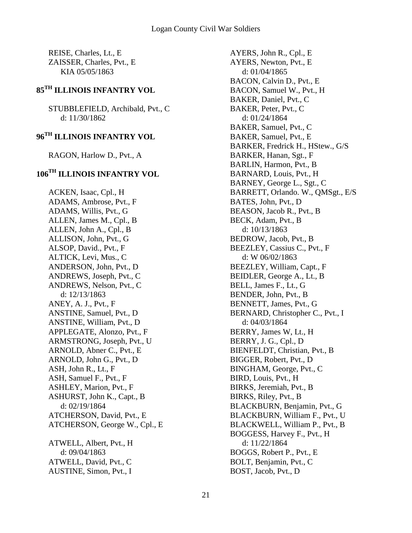REISE, Charles, Lt., E ZAISSER, Charles, Pvt., E KIA 05/05/1863

### **85TH ILLINOIS INFANTRY VOL**

STUBBLEFIELD, Archibald, Pvt., C d: 11/30/1862

#### **96TH ILLINOIS INFANTRY VOL**

RAGON, Harlow D., Pvt., A

#### **106TH ILLINOIS INFANTRY VOL**

ACKEN, Isaac, Cpl., H ADAMS, Ambrose, Pvt., F ADAMS, Willis, Pvt., G ALLEN, James M., Cpl., B ALLEN, John A., Cpl., B ALLISON, John, Pvt., G ALSOP, David., Pvt., F ALTICK, Levi, Mus., C ANDERSON, John, Pvt., D ANDREWS, Joseph, Pvt., C ANDREWS, Nelson, Pvt., C d: 12/13/1863 ANEY, A. J., Pvt., F ANSTINE, Samuel, Pvt., D ANSTINE, William, Pvt., D APPLEGATE, Alonzo, Pvt., F ARMSTRONG, Joseph, Pvt., U ARNOLD, Abner C., Pvt., E ARNOLD, John G., Pvt., D ASH, John R., Lt., F ASH, Samuel F., Pvt., F ASHLEY, Marion, Pvt., F ASHURST, John K., Capt., B d: 02/19/1864 ATCHERSON, David, Pvt., E ATCHERSON, George W., Cpl., E ATWELL, Albert, Pvt., H d: 09/04/1863 ATWELL, David, Pvt., C AUSTINE, Simon, Pvt., I

AYERS, John R., Cpl., E AYERS, Newton, Pvt., E d: 01/04/1865 BACON, Calvin D., Pvt., E BACON, Samuel W., Pvt., H BAKER, Daniel, Pvt., C BAKER, Peter, Pvt., C d: 01/24/1864 BAKER, Samuel, Pvt., C BAKER, Samuel, Pvt., E BARKER, Fredrick H., HStew., G/S BARKER, Hanan, Sgt., F BARLIN, Harmon, Pvt., B BARNARD, Louis, Pvt., H BARNEY, George L., Sgt., C BARRETT, Orlando. W., QMSgt., E/S BATES, John, Pvt., D BEASON, Jacob R., Pvt., B BECK, Adam, Pvt., B d: 10/13/1863 BEDROW, Jacob, Pvt., B BEEZLEY, Cassius C., Pvt., F d: W 06/02/1863 BEEZLEY, William, Capt., F BEIDLER, George A., Lt., B BELL, James F., Lt., G BENDER, John, Pvt., B BENNETT, James, Pvt., G BERNARD, Christopher C., Pvt., I d: 04/03/1864 BERRY, James W, Lt., H BERRY, J. G., Cpl., D BIENFELDT, Christian, Pvt., B BIGGER, Robert, Pvt., D BINGHAM, George, Pvt., C BIRD, Louis, Pvt., H BIRKS, Jeremiah, Pvt., B BIRKS, Riley, Pvt., B BLACKBURN, Benjamin, Pvt., G BLACKBURN, William F., Pvt., U BLACKWELL, William P., Pvt., B BOGGESS, Harvey F., Pvt., H d: 11/22/1864 BOGGS, Robert P., Pvt., E BOLT, Benjamin, Pvt., C BOST, Jacob, Pvt., D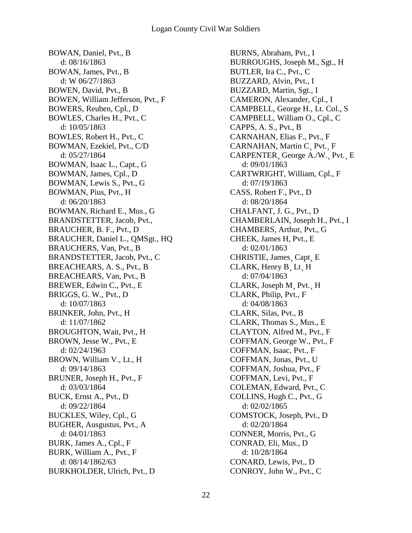BOWAN, Daniel, Pvt., B d: 08/16/1863 BOWAN, James, Pvt., B d: W 06/27/1863 BOWEN, David, Pvt., B BOWEN, William Jefferson, Pvt., F BOWERS, Reuben, Cpl., D BOWLES, Charles H., Pvt., C d: 10/05/1863 BOWLES, Robert H., Pvt., C BOWMAN, Ezekiel, Pvt., C/D d: 05/27/1864 BOWMAN, Isaac L., Capt., G BOWMAN, James, Cpl., D BOWMAN, Lewis S., Pvt., G BOWMAN, Pius, Pvt., H d: 06/20/1863 BOWMAN, Richard E., Mus., G BRANDSTETTER, Jacob, Pvt., BRAUCHER, B. F., Pvt., D BRAUCHER, Daniel L., QMSgt., HQ BRAUCHERS, Van, Pvt., B BRANDSTETTER, Jacob, Pvt., C BREACHEARS, A. S., Pvt., B BREACHEARS, Van, Pvt., B BREWER, Edwin C., Pvt., E BRIGGS, G. W., Pvt., D d: 10/07/1863 BRINKER, John, Pvt., H d: 11/07/1862 BROUGHTON, Wait, Pvt., H BROWN, Jesse W., Pvt., E d: 02/24/1963 BROWN, William V., Lt., H d: 09/14/1863 BRUNER, Joseph H., Pvt., F d: 03/03/1864 BUCK, Ernst A., Pvt., D d: 09/22/1864 BUCKLES, Wiley, Cpl., G BUGHER, Ausgustus, Pvt., A d: 04/01/1863 BURK, James A., Cpl., F BURK, William A., Pvt., F d: 08/14/1862/63 BURKHOLDER, Ulrich, Pvt., D

BURNS, Abraham, Pvt., I BURROUGHS, Joseph M., Sgt., H BUTLER, Ira C., Pvt., C BUZZARD, Alvin, Pvt., I BUZZARD, Martin, Sgt., I CAMERON, Alexander, Cpl., I CAMPBELL, George H., Lt. Col., S CAMPBELL, William O., Cpl., C CAPPS, A. S., Pvt., B CARNAHAN, Elias F., Pvt., F CARNAHAN, Martin C¸ Pvt.¸ F CARPENTER¸ George A./W.¸ Pvt.¸ E d: 09/01/1863 CARTWRIGHT, William, Cpl., F d: 07/19/1863 CASS, Robert F., Pvt., D d: 08/20/1864 CHALFANT, J. G., Pvt., D CHAMBERLAIN, Joseph H., Pvt., I CHAMBERS, Arthur, Pvt., G CHEEK, James H, Pvt., E d: 02/01/1863 CHRISTIE, James¸ Capt¸ E CLARK, Henry B¸ Lt¸ H d: 07/04/1863 CLARK, Joseph M¸ Pvt.¸ H CLARK, Philip, Pvt., F d: 04/08/1863 CLARK, Silas, Pvt., B CLARK, Thomas S., Mus., E CLAYTON, Alfred M., Pvt., F COFFMAN, George W., Pvt., F COFFMAN, Isaac, Pvt., F COFFMAN, Jonas, Pvt., U COFFMAN, Joshua, Pvt., F COFFMAN, Levi, Pvt., F COLEMAN, Edward, Pvt., C COLLINS, Hugh C., Pvt., G d: 02/02/1865 COMSTOCK, Joseph, Pvt., D d: 02/20/1864 CONNER, Morris, Pvt., G CONRAD, Eli, Mus., D d: 10/28/1864 CONARD, Lewis, Pvt., D CONROY, John W., Pvt., C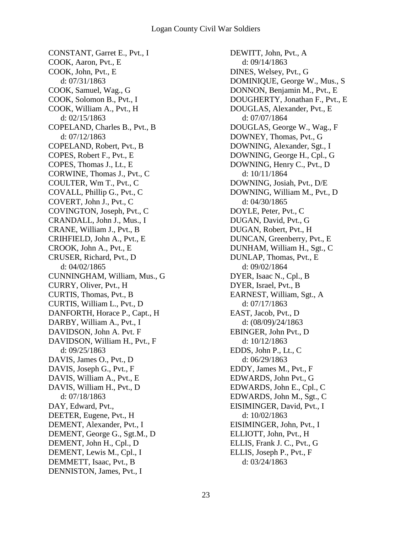CONSTANT, Garret E., Pvt., I COOK, Aaron, Pvt., E COOK, John, Pvt., E d: 07/31/1863 COOK, Samuel, Wag., G COOK, Solomon B., Pvt., I COOK, William A., Pvt., H d: 02/15/1863 COPELAND, Charles B., Pvt., B d: 07/12/1863 COPELAND, Robert, Pvt., B COPES, Robert F., Pvt., E COPES, Thomas J., Lt., E CORWINE, Thomas J., Pvt., C COULTER, Wm T., Pvt., C COVALL, Phillip G., Pvt., C COVERT, John J., Pvt., C COVINGTON, Joseph, Pvt., C CRANDALL, John J., Mus., I CRANE, William J., Pvt., B CRIHFIELD, John A., Pvt., E CROOK, John A., Pvt., E CRUSER, Richard, Pvt., D d: 04/02/1865 CUNNINGHAM, William, Mus., G CURRY, Oliver, Pvt., H CURTIS, Thomas, Pvt., B CURTIS, William L., Pvt., D DANFORTH, Horace P., Capt., H DARBY, William A., Pvt., I DAVIDSON, John A. Pvt. F DAVIDSON, William H., Pvt., F d: 09/25/1863 DAVIS, James O., Pvt., D DAVIS, Joseph G., Pvt., F DAVIS, William A., Pvt., E DAVIS, William H., Pvt., D d: 07/18/1863 DAY, Edward, Pvt., DEETER, Eugene, Pvt., H DEMENT, Alexander, Pvt., I DEMENT, George G., Sgt.M., D DEMENT, John H., Cpl., D DEMENT, Lewis M., Cpl., I DEMMETT, Isaac, Pvt., B DENNISTON, James, Pvt., I

DEWITT, John, Pvt., A d: 09/14/1863 DINES, Welsey, Pvt., G DOMINIQUE, George W., Mus., S DONNON, Benjamin M., Pvt., E DOUGHERTY, Jonathan F., Pvt., E DOUGLAS, Alexander, Pvt., E d: 07/07/1864 DOUGLAS, George W., Wag., F DOWNEY, Thomas, Pvt., G DOWNING, Alexander, Sgt., I DOWNING, George H., Cpl., G DOWNING, Henry C., Pvt., D d: 10/11/1864 DOWNING, Josiah, Pvt., D/E DOWNING, William M., Pvt., D d: 04/30/1865 DOYLE, Peter, Pvt., C DUGAN, David, Pvt., G DUGAN, Robert, Pvt., H DUNCAN, Greenberry, Pvt., E DUNHAM, William H., Sgt., C DUNLAP, Thomas, Pvt., E d: 09/02/1864 DYER, Isaac N., Cpl., B DYER, Israel, Pvt., B EARNEST, William, Sgt., A d: 07/17/1863 EAST, Jacob, Pvt., D d: (08/09)/24/1863 EBINGER, John Pvt., D d: 10/12/1863 EDDS, John P., Lt., C d: 06/29/1863 EDDY, James M., Pvt., F EDWARDS, John Pvt., G EDWARDS, John E., Cpl., C EDWARDS, John M., Sgt., C EISIMINGER, David, Pvt., I d: 10/02/1863 EISIMINGER, John, Pvt., I ELLIOTT, John, Pvt., H ELLIS, Frank J. C., Pvt., G ELLIS, Joseph P., Pvt., F d: 03/24/1863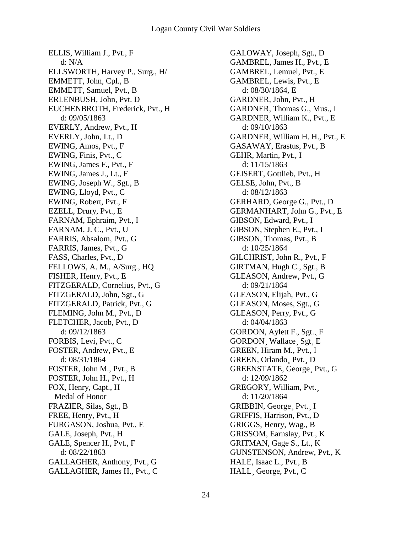ELLIS, William J., Pvt., F d: N/A ELLSWORTH, Harvey P., Surg., H/ EMMETT, John, Cpl., B EMMETT, Samuel, Pvt., B ERLENBUSH, John, Pvt. D EUCHENBROTH, Frederick, Pvt., H d: 09/05/1863 EVERLY, Andrew, Pvt., H EVERLY, John, Lt., D EWING, Amos, Pvt., F EWING, Finis, Pvt., C EWING, James F., Pvt., F EWING, James J., Lt., F EWING, Joseph W., Sgt., B EWING, Lloyd, Pvt., C EWING, Robert, Pvt., F EZELL, Drury, Pvt., E FARNAM, Ephraim, Pvt., I FARNAM, J. C., Pvt., U FARRIS, Absalom, Pvt., G FARRIS, James, Pvt., G FASS, Charles, Pvt., D FELLOWS, A. M., A/Surg., HQ FISHER, Henry, Pvt., E FITZGERALD, Cornelius, Pvt., G FITZGERALD, John, Sgt., G FITZGERALD, Patrick, Pvt., G FLEMING, John M., Pvt., D FLETCHER, Jacob, Pvt., D d: 09/12/1863 FORBIS, Levi, Pvt., C FOSTER, Andrew, Pvt., E d: 08/31/1864 FOSTER, John M., Pvt., B FOSTER, John H., Pvt., H FOX, Henry, Capt., H Medal of Honor FRAZIER, Silas, Sgt., B FREE, Henry, Pvt., H FURGASON, Joshua, Pvt., E GALE, Joseph, Pvt., H GALE, Spencer H., Pvt., F d: 08/22/1863 GALLAGHER, Anthony, Pvt., G GALLAGHER, James H., Pvt., C

GALOWAY, Joseph, Sgt., D GAMBREL, James H., Pvt., E GAMBREL, Lemuel, Pvt., E GAMBREL, Lewis, Pvt., E d: 08/30/1864, E GARDNER, John, Pvt., H GARDNER, Thomas G., Mus., I GARDNER, William K., Pvt., E d: 09/10/1863 GARDNER, William H. H., Pvt., E GASAWAY, Erastus, Pvt., B GEHR, Martin, Pvt., I d: 11/15/1863 GEISERT, Gottlieb, Pvt., H GELSE, John, Pvt., B d: 08/12/1863 GERHARD, George G., Pvt., D GERMANHART, John G., Pvt., E GIBSON, Edward, Pvt., I GIBSON, Stephen E., Pvt., I GIBSON, Thomas, Pvt., B d: 10/25/1864 GILCHRIST, John R., Pvt., F GIRTMAN, Hugh C., Sgt., B GLEASON, Andrew, Pvt., G d: 09/21/1864 GLEASON, Elijah, Pvt., G GLEASON, Moses, Sgt., G GLEASON, Perry, Pvt., G d: 04/04/1863 GORDON, Aylett F., Sgt.¸ F GORDON¸ Wallace¸ Sgt¸ E GREEN, Hiram M., Pvt., I GREEN, Orlando¸ Pvt.¸ D GREENSTATE, George¸ Pvt., G d: 12/09/1862 GREGORY, William, Pvt.¸ d: 11/20/1864 GRIBBIN, George¸ Pvt.¸ I GRIFFIS, Harrison, Pvt., D GRIGGS, Henry, Wag., B GRISSOM, Earnslay, Pvt., K GRITMAN, Gage S., Lt., K GUNSTENSON, Andrew, Pvt., K HALE, Isaac L., Pvt., B HALL¸ George, Pvt., C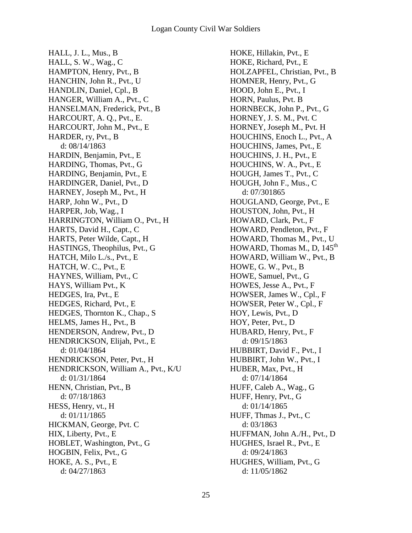HALL, J. L., Mus., B HALL, S. W., Wag., C HAMPTON, Henry, Pvt., B HANCHIN, John R., Pvt., U HANDLIN, Daniel, Cpl., B HANGER, William A., Pvt., C HANSELMAN, Frederick, Pvt., B HARCOURT, A. Q., Pvt., E. HARCOURT, John M., Pvt., E HARDER, ry, Pvt., B d: 08/14/1863 HARDIN, Benjamin, Pvt., E HARDING, Thomas, Pvt., G HARDING, Benjamin, Pvt., E HARDINGER, Daniel, Pvt., D HARNEY, Joseph M., Pvt., H HARP, John W., Pvt., D HARPER, Job, Wag., I HARRINGTON, William O., Pvt., H HARTS, David H., Capt., C HARTS, Peter Wilde, Capt., H HASTINGS, Theophilus, Pvt., G HATCH, Milo L./s., Pvt., E HATCH, W. C., Pvt., E HAYNES, William, Pvt., C HAYS, William Pvt., K HEDGES, Ira, Pvt., E HEDGES, Richard, Pvt., E HEDGES, Thornton K., Chap., S HELMS, James H., Pvt., B HENDERSON, Andrew, Pvt., D HENDRICKSON, Elijah, Pvt., E d: 01/04/1864 HENDRICKSON, Peter, Pvt., H HENDRICKSON, William A., Pvt., K/U d: 01/31/1864 HENN, Christian, Pvt., B d: 07/18/1863 HESS, Henry, vt., H d: 01/11/1865 HICKMAN, George, Pvt. C HIX, Liberty, Pvt., E HOBLET, Washington, Pvt., G HOGBIN, Felix, Pvt., G HOKE, A. S., Pvt., E d: 04/27/1863

HOKE, Hillakin, Pvt., E HOKE, Richard, Pvt., E HOLZAPFEL, Christian, Pvt., B HOMNER, Henry, Pvt., G HOOD, John E., Pvt., I HORN, Paulus, Pvt. B HORNBECK, John P., Pvt., G HORNEY, J. S. M., Pvt. C HORNEY, Joseph M., Pvt. H HOUCHINS, Enoch L., Pvt., A HOUCHINS, James, Pvt., E HOUCHINS, J. H., Pvt., E HOUCHINS, W. A., Pvt., E HOUGH, James T., Pvt., C HOUGH, John F., Mus., C d: 07/301865 HOUGLAND, George, Pvt., E HOUSTON, John, Pvt., H HOWARD, Clark, Pvt., F HOWARD, Pendleton, Pvt., F HOWARD, Thomas M., Pvt., U HOWARD, Thomas M., D,  $145<sup>th</sup>$ HOWARD, William W., Pvt., B HOWE, G. W., Pvt., B HOWE, Samuel, Pvt., G HOWES, Jesse A., Pvt., F HOWSER, James W., Cpl., F HOWSER, Peter W., Cpl., F HOY, Lewis, Pvt., D HOY, Peter, Pvt., D HUBARD, Henry, Pvt., F d: 09/15/1863 HUBBIRT, David F., Pvt., I HUBBIRT, John W., Pvt., I HUBER, Max, Pvt., H d: 07/14/1864 HUFF, Caleb A., Wag., G HUFF, Henry, Pvt., G d: 01/14/1865 HUFF, Thmas J., Pvt., C d: 03/1863 HUFFMAN, John A./H., Pvt., D HUGHES, Israel R., Pvt., E d: 09/24/1863 HUGHES, William, Pvt., G d: 11/05/1862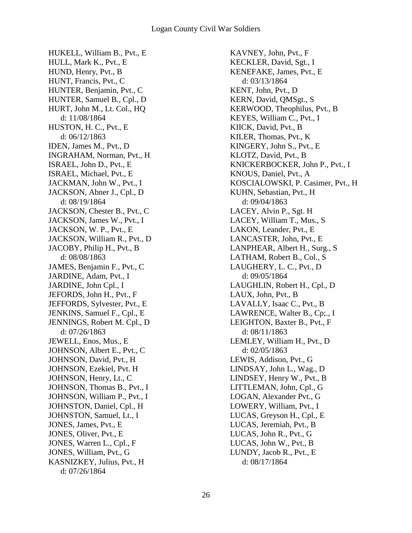HUKELL, William B., Pvt., E HULL, Mark K., Pvt., E HUND, Henry, Pvt., B HUNT, Francis, Pvt., C HUNTER, Benjamin, Pvt., C HUNTER, Samuel B., Cpl., D HURT, John M., Lt. Col., HQ d: 11/08/1864 HUSTON, H. C., Pvt., E d: 06/12/1863 IDEN, James M., Pvt., D INGRAHAM, Norman, Pvt., H ISRAEL, John D., Pvt., E ISRAEL, Michael, Pvt., E JACKMAN, John W., Pvt., I JACKSON, Abner J., Cpl., D d: 08/19/1864 JACKSON, Chester B., Pvt., C JACKSON, James W., Pvt., I JACKSON, W. P., Pvt., E JACKSON, William R., Pvt., D JACOBY, Philip H., Pvt., B d: 08/08/1863 JAMES, Benjamin F., Pvt., C JARDINE, Adam, Pvt., I JARDINE, John Cpl., I JEFORDS, John H., Pvt., F JEFFORDS, Sylvester, Pvt., E JENKINS, Samuel F., Cpl., E JENNINGS, Robert M. Cpl., D d: 07/26/1863 JEWELL, Enos, Mus., E JOHNSON, Albert E., Pvt., C JOHNSON, David, Pvt., H JOHNSON, Ezekiel, Pvt. H JOHNSON, Henry, Lt., C JOHNSON, Thomas B., Pvt., I JOHNSON, William P., Pvt., I JOHNSTON, Daniel, Cpl., H JOHNSTON, Samuel, Lt., I JONES, James, Pvt., E JONES, Oliver, Pvt., E JONES, Warren L., Cpl., F JONES, William, Pvt., G KASNIZKEY, Julius, Pvt., H d: 07/26/1864

KAVNEY, John, Pvt., F KECKLER, David, Sgt., I KENEFAKE, James, Pvt., E d: 03/13/1864 KENT, John, Pvt., D KERN, David, QMSgt., S KERWOOD, Theophilus, Pvt., B KEYES, William C., Pvt., I KIICK, David, Pvt., B KILER, Thomas, Pvt., K KINGERY, John S., Pvt., E KLOTZ, David, Pvt., B KNICKERBOCKER, John P., Pvt., I KNOUS, Daniel, Pvt., A KOSCIALOWSKI, P. Casimer, Pvt., H KUHN, Sebastian, Pvt., H d: 09/04/1863 LACEY, Alvin P., Sgt. H LACEY, William T., Mus., S LAKON, Leander, Pvt., E LANCASTER, John, Pvt., E LANPHEAR, Albert H., Surg., S LATHAM, Robert B., Col., S LAUGHERY, L. C., Pvt., D d: 09/05/1864 LAUGHLIN, Robert H., Cpl., D LAUX, John, Pvt., B LAVALLY, Isaac C., Pvt., B LAWRENCE, Walter B., Cp;., I LEIGHTON, Baxter B., Pvt., F d: 08/11/1863 LEMLEY, William H., Pvt., D d: 02/05/1863 LEWIS, Addison, Pvt., G LINDSAY, John L., Wag., D LINDSEY, Henry W., Pvt., B LITTLEMAN, John, Cpl., G LOGAN, Alexander Pvt., G LOWERY, William, Pvt., I LUCAS, Greyson H., Cpl., E LUCAS, Jeremiah, Pvt., B LUCAS, John R., Pvt., G LUCAS, John W., Pvt., B LUNDY, Jacob R., Pvt., E d: 08/17/1864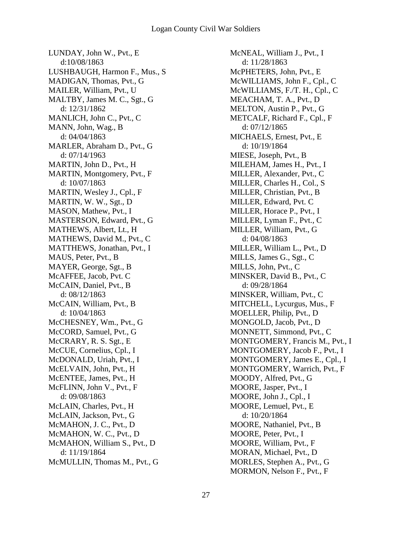LUNDAY, John W., Pvt., E d:10/08/1863 LUSHBAUGH, Harmon F., Mus., S MADIGAN, Thomas, Pvt., G MAILER, William, Pvt., U MALTBY, James M. C., Sgt., G d: 12/31/1862 MANLICH, John C., Pvt., C MANN, John, Wag., B d: 04/04/1863 MARLER, Abraham D., Pvt., G d: 07/14/1963 MARTIN, John D., Pvt., H MARTIN, Montgomery, Pvt., F d: 10/07/1863 MARTIN, Wesley J., Cpl., F MARTIN, W. W., Sgt., D MASON, Mathew, Pvt., I MASTERSON, Edward, Pvt., G MATHEWS, Albert, Lt., H MATHEWS, David M., Pvt., C MATTHEWS, Jonathan, Pvt., I MAUS, Peter, Pvt., B MAYER, George, Sgt., B McAFFEE, Jacob, Pvt. C McCAIN, Daniel, Pvt., B d: 08/12/1863 McCAIN, William, Pvt., B d: 10/04/1863 McCHESNEY, Wm., Pvt., G McCORD, Samuel, Pvt., G McCRARY, R. S. Sgt., E McCUE, Cornelius, Cpl., I McDONALD, Uriah, Pvt., I McELVAIN, John, Pvt., H McENTEE, James, Pvt., H McFLINN, John V., Pvt., F d: 09/08/1863 McLAIN, Charles, Pvt., H McLAIN, Jackson, Pvt., G McMAHON, J. C., Pvt., D McMAHON, W. C., Pvt., D McMAHON, William S., Pvt., D d: 11/19/1864 McMULLIN, Thomas M., Pvt., G

McNEAL, William J., Pvt., I d: 11/28/1863 McPHETERS, John, Pvt., E McWILLIAMS, John F., Cpl., C McWILLIAMS, F./T. H., Cpl., C MEACHAM, T. A., Pvt., D MELTON, Austin P., Pvt., G METCALF, Richard F., Cpl., F d: 07/12/1865 MICHAELS, Ernest, Pvt., E d: 10/19/1864 MIESE, Joseph, Pvt., B MILEHAM, James H., Pvt., I MILLER, Alexander, Pvt., C MILLER, Charles H., Col., S MILLER, Christian, Pvt., B MILLER, Edward, Pvt. C MILLER, Horace P., Pvt., I MILLER, Lyman F., Pvt., C MILLER, William, Pvt., G d: 04/08/1863 MILLER, William L., Pvt., D MILLS, James G., Sgt., C MILLS, John, Pvt., C MINSKER, David B., Pvt., C d: 09/28/1864 MINSKER, William, Pvt., C MITCHELL, Lycurgus, Mus., F MOELLER, Philip, Pvt., D MONGOLD, Jacob, Pvt., D MONNETT, Simmond, Pvt., C MONTGOMERY, Francis M., Pvt., I MONTGOMERY, Jacob F., Pvt., I MONTGOMERY, James E., Cpl., I MONTGOMERY, Warrich, Pvt., F MOODY, Alfred, Pvt., G MOORE, Jasper, Pvt., I MOORE, John J., Cpl., I MOORE, Lemuel, Pvt., E d: 10/20/1864 MOORE, Nathaniel, Pvt., B MOORE, Peter, Pvt., I MOORE, William, Pvt., F MORAN, Michael, Pvt., D MORLES, Stephen A., Pvt., G MORMON, Nelson F., Pvt., F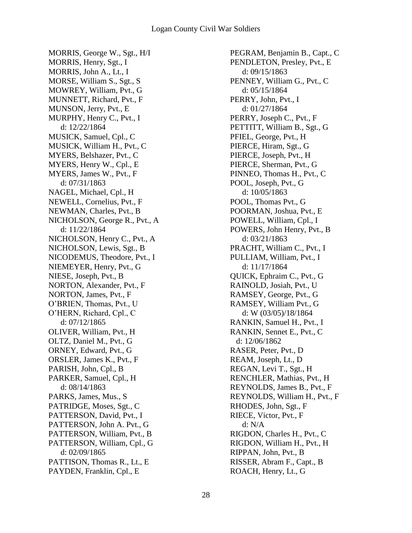MORRIS, George W., Sgt., H/I MORRIS, Henry, Sgt., I MORRIS, John A., Lt., I MORSE, William S., Sgt., S MOWREY, William, Pvt., G MUNNETT, Richard, Pvt., F MUNSON, Jerry, Pvt., E MURPHY, Henry C., Pvt., I d: 12/22/1864 MUSICK, Samuel, Cpl., C MUSICK, William H., Pvt., C MYERS, Belshazer, Pvt., C MYERS, Henry W., Cpl., E MYERS, James W., Pvt., F d: 07/31/1863 NAGEL, Michael, Cpl., H NEWELL, Cornelius, Pvt., F NEWMAN, Charles, Pvt., B NICHOLSON, George R., Pvt., A d: 11/22/1864 NICHOLSON, Henry C., Pvt., A NICHOLSON, Lewis, Sgt., B NICODEMUS, Theodore, Pvt., I NIEMEYER, Henry, Pvt., G NIESE, Joseph, Pvt., B NORTON, Alexander, Pvt., F NORTON, James, Pvt., F O'BRIEN, Thomas, Pvt., U O'HERN, Richard, Cpl., C d: 07/12/1865 OLIVER, William, Pvt., H OLTZ, Daniel M., Pvt., G ORNEY, Edward, Pvt., G ORSLER, James K., Pvt., F PARISH, John, Cpl., B PARKER, Samuel, Cpl., H d: 08/14/1863 PARKS, James, Mus., S PATRIDGE, Moses, Sgt., C PATTERSON, David, Pvt., I PATTERSON, John A. Pvt., G PATTERSON, William, Pvt., B PATTERSON, William, Cpl., G d: 02/09/1865 PATTISON, Thomas R., Lt., E PAYDEN, Franklin, Cpl., E

PEGRAM, Benjamin B., Capt., C PENDLETON, Presley, Pvt., E d: 09/15/1863 PENNEY, William G., Pvt., C d: 05/15/1864 PERRY, John, Pvt., I d: 01/27/1864 PERRY, Joseph C., Pvt., F PETTITT, William B., Sgt., G PFIEL, George, Pvt., H PIERCE, Hiram, Sgt., G PIERCE, Joseph, Pvt., H PIERCE, Sherman, Pvt., G PINNEO, Thomas H., Pvt., C POOL, Joseph, Pvt., G d: 10/05/1863 POOL, Thomas Pvt., G POORMAN, Joshua, Pvt., E POWELL, William, Cpl., I POWERS, John Henry, Pvt., B d: 03/21/1863 PRACHT, William C., Pvt., I PULLIAM, William, Pvt., I d: 11/17/1864 QUICK, Ephraim C., Pvt., G RAINOLD, Josiah, Pvt., U RAMSEY, George, Pvt., G RAMSEY, William Pvt., G d: W (03/05)/18/1864 RANKIN, Samuel H., Pvt., I RANKIN, Sennet E., Pvt., C d: 12/06/1862 RASER, Peter, Pvt., D REAM, Joseph, Lt., D REGAN, Levi T., Sgt., H RENCHLER, Mathias, Pvt., H REYNOLDS, James B., Pvt., F REYNOLDS, William H., Pvt., F RHODES, John, Sgt., F RIECE, Victor, Pvt., F d: N/A RIGDON, Charles H., Pvt., C RIGDON, William H., Pvt., H RIPPAN, John, Pvt., B RISSER, Abram F., Capt., B ROACH, Henry, Lt., G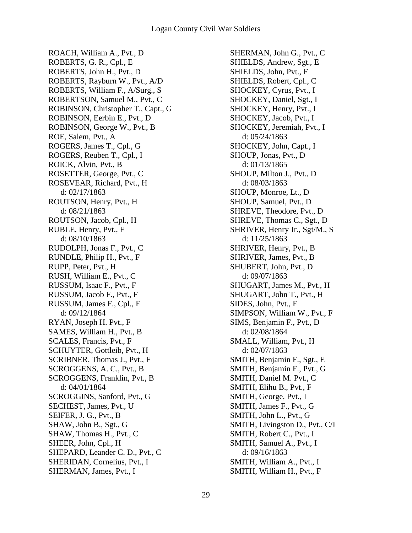ROACH, William A., Pvt., D ROBERTS, G. R., Cpl., E ROBERTS, John H., Pvt., D ROBERTS, Rayburn W., Pvt., A/D ROBERTS, William F., A/Surg., S ROBERTSON, Samuel M., Pvt., C ROBINSON, Christopher T., Capt., G ROBINSON, Eerbin E., Pvt., D ROBINSON, George W., Pvt., B ROE, Salem, Pvt., A ROGERS, James T., Cpl., G ROGERS, Reuben T., Cpl., I ROICK, Alvin, Pvt., B ROSETTER, George, Pvt., C ROSEVEAR, Richard, Pvt., H d: 02/17/1863 ROUTSON, Henry, Pvt., H d: 08/21/1863 ROUTSON, Jacob, Cpl., H RUBLE, Henry, Pvt., F d: 08/10/1863 RUDOLPH, Jonas F., Pvt., C RUNDLE, Philip H., Pvt., F RUPP, Peter, Pvt., H RUSH, William E., Pvt., C RUSSUM, Isaac F., Pvt., F RUSSUM, Jacob F., Pvt., F RUSSUM, James F., Cpl., F d: 09/12/1864 RYAN, Joseph H. Pvt., F SAMES, William H., Pvt., B SCALES, Francis, Pvt., F SCHUYTER, Gottleib, Pvt., H SCRIBNER, Thomas J., Pvt., F SCROGGENS, A. C., Pvt., B SCROGGENS, Franklin, Pvt., B d: 04/01/1864 SCROGGINS, Sanford, Pvt., G SECHEST, James, Pvt., U SEIFER, J. G., Pvt., B SHAW, John B., Sgt., G SHAW, Thomas H., Pvt., C SHEER, John, Cpl., H SHEPARD, Leander C. D., Pvt., C SHERIDAN, Cornelius, Pvt., I SHERMAN, James, Pvt., I

SHERMAN, John G., Pvt., C SHIELDS, Andrew, Sgt., E SHIELDS, John, Pvt., F SHIELDS, Robert, Cpl., C SHOCKEY, Cyrus, Pvt., I SHOCKEY, Daniel, Sgt., I SHOCKEY, Henry, Pvt., I SHOCKEY, Jacob, Pvt., I SHOCKEY, Jeremiah, Pvt., I d: 05/24/1863 SHOCKEY, John, Capt., I SHOUP, Jonas, Pvt., D d: 01/13/1865 SHOUP, Milton J., Pvt., D d: 08/03/1863 SHOUP, Monroe, Lt., D SHOUP, Samuel, Pvt., D SHREVE, Theodore, Pvt., D SHREVE, Thomas C., Sgt., D SHRIVER, Henry Jr., Sgt/M., S d: 11/25/1863 SHRIVER, Henry, Pvt., B SHRIVER, James, Pvt., B SHUBERT, John, Pvt., D d: 09/07/1863 SHUGART, James M., Pvt., H SHUGART, John T., Pvt., H SIDES, John, Pvt., F SIMPSON, William W., Pvt., F SIMS, Benjamin F., Pvt., D d: 02/08/1864 SMALL, William, Pvt., H d: 02/07/1863 SMITH, Benjamin F., Sgt., E SMITH, Benjamin F., Pvt., G SMITH, Daniel M. Pvt., C SMITH, Elihu B., Pvt., F SMITH, George, Pvt., I SMITH, James F., Pvt., G SMITH, John L., Pvt., G SMITH, Livingston D., Pvt., C/I SMITH, Robert C., Pvt., I SMITH, Samuel A., Pvt., I d: 09/16/1863 SMITH, William A., Pvt., I SMITH, William H., Pvt., F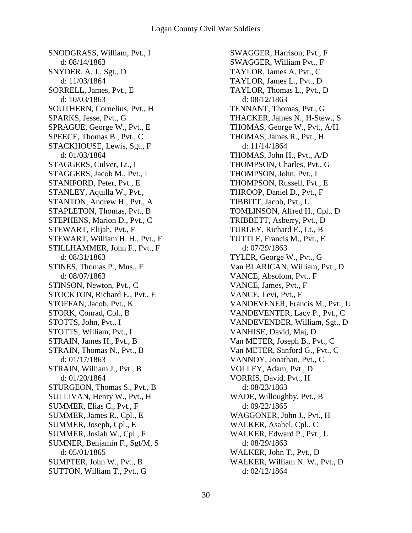SNODGRASS, William, Pvt., I d: 08/14/1863 SNYDER, A. J., Sgt., D d: 11/03/1864 SORRELL, James, Pvt., E d: 10/03/1863 SOUTHERN, Cornelius, Pvt., H SPARKS, Jesse, Pvt., G SPRAGUE, George W., Pvt., E SPEECE, Thomas B., Pvt., C STACKHOUSE, Lewis, Sgt., F d: 01/03/1864 STAGGERS, Culver, Lt., I STAGGERS, Jacob M., Pvt., I STANIFORD, Peter, Pvt., E STANLEY, Aquilla W., Pvt., STANTON, Andrew H., Pvt., A STAPLETON, Thomas, Pvt., B STEPHENS, Marion D., Pvt., C STEWART, Elijah, Pvt., F STEWART, William H. H., Pvt., F STILLHAMMER, John F., Pvt., F d: 08/31/1863 STINES, Thomas P., Mus., F d: 08/07/1863 STINSON, Newton, Pvt., C STOCKTON, Richard E., Pvt., E STOFFAN, Jacob, Pvt., K STORK, Conrad, Cpl., B STOTTS, John, Pvt., I STOTTS, William, Pvt., I STRAIN, James H., Pvt., B STRAIN, Thomas N., Pvt., B d: 01/17/1863 STRAIN, William J., Pvt., B d: 01/20/1864 STURGEON, Thomas S., Pvt., B SULLIVAN, Henry W., Pvt., H SUMMER, Elias C., Pvt., F SUMMER, James R., Cpl., E SUMMER, Joseph, Cpl., E SUMMER, Josiah W., Cpl., F SUMNER, Benjamin F., Sgt/M, S d: 05/01/1865 SUMPTER, John W., Pvt., B SUTTON, William T., Pvt., G

SWAGGER, Harrison, Pvt., F SWAGGER, William Pvt., F TAYLOR, James A. Pvt., C TAYLOR, James L., Pvt., D TAYLOR, Thomas L., Pvt., D d: 08/12/1863 TENNANT, Thomas, Pvt., G THACKER, James N., H-Stew., S THOMAS, George W., Pvt., A/H THOMAS, James R., Pvt., H d: 11/14/1864 THOMAS, John H., Pvt., A/D THOMPSON, Charles, Pvt., G THOMPSON, John, Pvt., I THOMPSON, Russell, Pvt., E THROOP, Daniel D., Pvt., F TIBBITT, Jacob, Pvt., U TOMLINSON, Alfred H., Cpl., D TRIBBETT, Asberry, Pvt., D TURLEY, Richard E., Lt., B TUTTLE, Francis M., Pvt., E d: 07/29/1863 TYLER, George W., Pvt., G Van BLARICAN, William, Pvt., D VANCE, Absolom, Pvt., F VANCE, James, Pvt., F VANCE, Levi, Pvt., F VANDEVENER, Francis M., Pvt., U VANDEVENTER, Lacy P., Pvt., C VANDEVENDER, William, Sgt., D VANHISE, David, Maj, D Van METER, Joseph B., Pvt., C Van METER, Sanford G., Pvt., C VANNOY, Jonathan, Pvt., C VOLLEY, Adam, Pvt., D VORRIS, David, Pvt., H d: 08/23/1863 WADE, Willoughby, Pvt., B d: 09/22/1865 WAGGONER, John J., Pvt., H WALKER, Asahel, Cpl., C WALKER, Edward P., Pvt., L d: 08/29/1863 WALKER, John T., Pvt., D WALKER, William N. W., Pvt., D d: 02/12/1864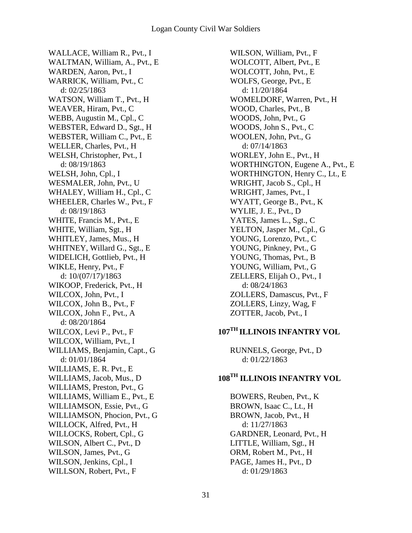WALLACE, William R., Pvt., I WALTMAN, William, A., Pvt., E WARDEN, Aaron, Pvt., I WARRICK, William, Pvt., C d: 02/25/1863 WATSON, William T., Pvt., H WEAVER, Hiram, Pvt., C WEBB, Augustin M., Cpl., C WEBSTER, Edward D., Sgt., H WEBSTER, William C., Pvt., E WELLER, Charles, Pvt., H WELSH, Christopher, Pvt., I d: 08/19/1863 WELSH, John, Cpl., I WESMALER, John, Pvt., U WHALEY, William H., Cpl., C WHEELER, Charles W., Pvt., F d: 08/19/1863 WHITE, Francis M., Pvt., E WHITE, William, Sgt., H WHITLEY, James, Mus., H WHITNEY, Willard G., Sgt., E WIDELICH, Gottlieb, Pvt., H WIKLE, Henry, Pvt., F d: 10/(07/17)/1863 WIKOOP, Frederick, Pvt., H WILCOX, John, Pvt., I WILCOX, John B., Pvt., F WILCOX, John F., Pvt., A d: 08/20/1864 WILCOX, Levi P., Pvt., F WILCOX, William, Pvt., I WILLIAMS, Benjamin, Capt., G d: 01/01/1864 WILLIAMS, E. R. Pvt., E WILLIAMS, Jacob, Mus., D WILLIAMS, Preston, Pvt., G WILLIAMS, William E., Pvt., E WILLIAMSON, Essie, Pvt., G WILLIAMSON, Phocion, Pvt., G WILLOCK, Alfred, Pvt., H WILLOCKS, Robert, Cpl., G WILSON, Albert C., Pvt., D WILSON, James, Pvt., G WILSON, Jenkins, Cpl., I WILLSON, Robert, Pvt., F

WILSON, William, Pvt., F WOLCOTT, Albert, Pvt., E WOLCOTT, John, Pvt., E WOLFS, George, Pvt., E d: 11/20/1864 WOMELDORF, Warren, Pvt., H WOOD, Charles, Pvt., B WOODS, John, Pvt., G WOODS, John S., Pvt., C WOOLEN, John, Pvt., G d: 07/14/1863 WORLEY, John E., Pvt., H WORTHINGTON, Eugene A., Pvt., E WORTHINGTON, Henry C., Lt., E WRIGHT, Jacob S., Cpl., H WRIGHT, James, Pvt., I WYATT, George B., Pvt., K WYLIE, J. E., Pvt., D YATES, James L., Sgt., C YELTON, Jasper M., Cpl., G YOUNG, Lorenzo, Pvt., C YOUNG, Pinkney, Pvt., G YOUNG, Thomas, Pvt., B YOUNG, William, Pvt., G ZELLERS, Elijah O., Pvt., I d: 08/24/1863 ZOLLERS, Damascus, Pvt., F ZOLLERS, Linzy, Wag, F ZOTTER, Jacob, Pvt., I

# **107TH ILLINOIS INFANTRY VOL**

RUNNELS, George, Pvt., D d: 01/22/1863

### **108TH ILLINOIS INFANTRY VOL**

BOWERS, Reuben, Pvt., K BROWN, Isaac C., Lt., H BROWN, Jacob, Pvt., H d: 11/27/1863 GARDNER, Leonard, Pvt., H LITTLE, William, Sgt., H ORM, Robert M., Pvt., H PAGE, James H., Pvt., D d: 01/29/1863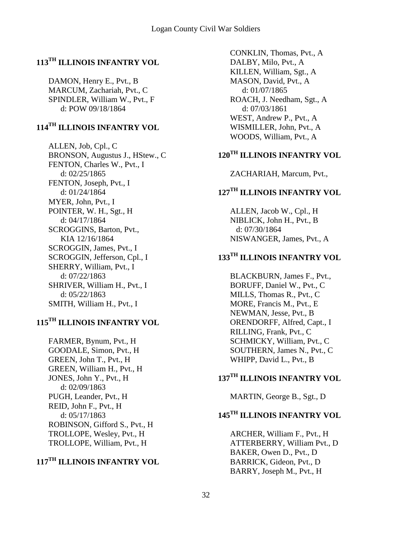### **113TH ILLINOIS INFANTRY VOL**

DAMON, Henry E., Pvt., B MARCUM, Zachariah, Pvt., C SPINDLER, William W., Pvt., F d: POW 09/18/1864

### **114TH ILLINOIS INFANTRY VOL**

ALLEN, Job, Cpl., C BRONSON, Augustus J., HStew., C FENTON, Charles W., Pvt., I d: 02/25/1865 FENTON, Joseph, Pvt., I d: 01/24/1864 MYER, John, Pvt., I POINTER, W. H., Sgt., H d: 04/17/1864 SCROGGINS, Barton, Pvt., KIA 12/16/1864 SCROGGIN, James, Pvt., I SCROGGIN, Jefferson, Cpl., I SHERRY, William, Pvt., I d: 07/22/1863 SHRIVER, William H., Pvt., I d: 05/22/1863 SMITH, William H., Pvt., I

# **115TH ILLINOIS INFANTRY VOL**

FARMER, Bynum, Pvt., H GOODALE, Simon, Pvt., H GREEN, John T., Pvt., H GREEN, William H., Pvt., H JONES, John Y., Pvt., H d: 02/09/1863 PUGH, Leander, Pvt., H REID, John F., Pvt., H d: 05/17/1863 ROBINSON, Gifford S., Pvt., H TROLLOPE, Wesley, Pvt., H TROLLOPE, William, Pvt., H

# **117TH ILLINOIS INFANTRY VOL**

CONKLIN, Thomas, Pvt., A DALBY, Milo, Pvt., A KILLEN, William, Sgt., A MASON, David, Pvt., A d: 01/07/1865 ROACH, J. Needham, Sgt., A d: 07/03/1861 WEST, Andrew P., Pvt., A WISMILLER, John, Pvt., A WOODS, William, Pvt., A

# **120TH ILLINOIS INFANTRY VOL**

ZACHARIAH, Marcum, Pvt.,

# **127TH ILLINOIS INFANTRY VOL**

ALLEN, Jacob W., Cpl., H NIBLICK, John H., Pvt., B d: 07/30/1864 NISWANGER, James, Pvt., A

# **133TH ILLINOIS INFANTRY VOL**

BLACKBURN, James F., Pvt., BORUFF, Daniel W., Pvt., C MILLS, Thomas R., Pvt., C MORE, Francis M., Pvt., E NEWMAN, Jesse, Pvt., B ORENDORFF, Alfred, Capt., I RILLING, Frank, Pvt., C SCHMICKY, William, Pvt., C SOUTHERN, James N., Pvt., C WHIPP, David L., Pvt., B

### **137TH ILLINOIS INFANTRY VOL**

MARTIN, George B., Sgt., D

# **145TH ILLINOIS INFANTRY VOL**

ARCHER, William F., Pvt., H ATTERBERRY, William Pvt., D BAKER, Owen D., Pvt., D BARRICK, Gideon, Pvt., D BARRY, Joseph M., Pvt., H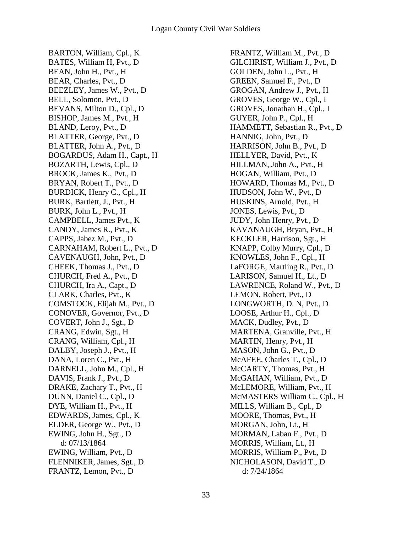BARTON, William, Cpl., K BATES, William H, Pvt., D BEAN, John H., Pvt., H BEAR, Charles, Pvt., D BEEZLEY, James W., Pvt., D BELL, Solomon, Pvt., D BEVANS, Milton D., Cpl., D BISHOP, James M., Pvt., H BLAND, Leroy, Pvt., D BLATTER, George, Pvt., D BLATTER, John A., Pvt., D BOGARDUS, Adam H., Capt., H BOZARTH, Lewis, Cpl., D BROCK, James K., Pvt., D BRYAN, Robert T., Pvt., D BURDICK, Henry C., Cpl., H BURK, Bartlett, J., Pvt., H BURK, John L., Pvt., H CAMPBELL, James Pvt., K CANDY, James R., Pvt., K CAPPS, Jabez M., Pvt., D CARNAHAM, Robert L., Pvt., D CAVENAUGH, John, Pvt., D CHEEK, Thomas J., Pvt., D CHURCH, Fred A., Pvt., D CHURCH, Ira A., Capt., D CLARK, Charles, Pvt., K COMSTOCK, Elijah M., Pvt., D CONOVER, Governor, Pvt., D COVERT, John J., Sgt., D CRANG, Edwin, Sgt., H CRANG, William, Cpl., H DALBY, Joseph J., Pvt., H DANA, Loren C., Pvt., H DARNELL, John M., Cpl., H DAVIS, Frank J., Pvt., D DRAKE, Zachary T., Pvt., H DUNN, Daniel C., Cpl., D DYE, William H., Pvt., H EDWARDS, James, Cpl., K ELDER, George W., Pvt., D EWING, John H., Sgt., D d: 07/13/1864 EWING, William, Pvt., D FLENNIKER, James, Sgt., D FRANTZ, Lemon, Pvt., D

FRANTZ, William M., Pvt., D GILCHRIST, William J., Pvt., D GOLDEN, John L., Pvt., H GREEN, Samuel F., Pvt., D GROGAN, Andrew J., Pvt., H GROVES, George W., Cpl., I GROVES, Jonathan H., Cpl., I GUYER, John P., Cpl., H HAMMETT, Sebastian R., Pvt., D HANNIG, John, Pvt., D HARRISON, John B., Pvt., D HELLYER, David, Pvt., K HILLMAN, John A., Pvt., H HOGAN, William, Pvt., D HOWARD, Thomas M., Pvt., D HUDSON, John W., Pvt., D HUSKINS, Arnold, Pvt., H JONES, Lewis, Pvt., D JUDY, John Henry, Pvt., D KAVANAUGH, Bryan, Pvt., H KECKLER, Harrison, Sgt., H KNAPP, Colby Murry, Cpl., D KNOWLES, John F., Cpl., H LaFORGE, Martling R., Pvt., D LARISON, Samuel H., Lt., D LAWRENCE, Roland W., Pvt., D LEMON, Robert, Pvt., D LONGWORTH, D. N, Pvt., D LOOSE, Arthur H., Cpl., D MACK, Dudley, Pvt., D MARTENA, Granville, Pvt., H MARTIN, Henry, Pvt., H MASON, John G., Pvt., D McAFEE, Charles T., Cpl., D McCARTY, Thomas, Pvt., H McGAHAN, William, Pvt., D McLEMORE, William, Pvt., H McMASTERS William C., Cpl., H MILLS, William B., Cpl., D MOORE, Thomas, Pvt., H MORGAN, John, Lt., H MORMAN, Laban F., Pvt., D MORRIS, William, Lt., H MORRIS, William P., Pvt., D NICHOLASON, David T., D d: 7/24/1864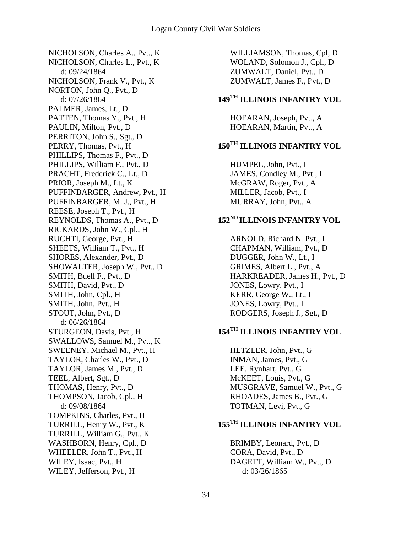NICHOLSON, Charles A., Pvt., K NICHOLSON, Charles L., Pvt., K d: 09/24/1864 NICHOLSON, Frank V., Pvt., K NORTON, John Q., Pvt., D d: 07/26/1864 PALMER, James, Lt., D PATTEN, Thomas Y., Pvt., H PAULIN, Milton, Pvt., D PERRITON, John S., Sgt., D PERRY, Thomas, Pvt., H PHILLIPS, Thomas F., Pvt., D PHILLIPS, William F., Pvt., D PRACHT, Frederick C., Lt., D PRIOR, Joseph M., Lt., K PUFFINBARGER, Andrew, Pvt., H PUFFINBARGER, M. J., Pvt., H REESE, Joseph T., Pvt., H REYNOLDS, Thomas A., Pvt., D RICKARDS, John W., Cpl., H RUCHTI, George, Pvt., H SHEETS, William T., Pvt., H SHORES, Alexander, Pvt., D SHOWALTER, Joseph W., Pvt., D SMITH, Buell F., Pvt., D SMITH, David, Pvt., D SMITH, John, Cpl., H SMITH, John, Pvt., H STOUT, John, Pvt., D d: 06/26/1864 STURGEON, Davis, Pvt., H SWALLOWS, Samuel M., Pvt., K SWEENEY, Michael M., Pvt., H TAYLOR, Charles W., Pvt., D TAYLOR, James M., Pvt., D TEEL, Albert, Sgt., D THOMAS, Henry, Pvt., D THOMPSON, Jacob, Cpl., H d: 09/08/1864 TOMPKINS, Charles, Pvt., H TURRILL, Henry W., Pvt., K TURRILL, William G., Pvt., K WASHBORN, Henry, Cpl., D WHEELER, John T., Pvt., H WILEY, Isaac, Pvt., H WILEY, Jefferson, Pvt., H

WILLIAMSON, Thomas, Cpl, D WOLAND, Solomon J., Cpl., D ZUMWALT, Daniel, Pvt., D ZUMWALT, James F., Pvt., D

# **149TH ILLINOIS INFANTRY VOL**

HOEARAN, Joseph, Pvt., A HOEARAN, Martin, Pvt., A

# **150TH ILLINOIS INFANTRY VOL**

HUMPEL, John, Pvt., I JAMES, Condley M., Pvt., I McGRAW, Roger, Pvt., A MILLER, Jacob, Pvt., I MURRAY, John, Pvt., A

# **152ND ILLINOIS INFANTRY VOL**

ARNOLD, Richard N. Pvt., I CHAPMAN, William, Pvt., D DUGGER, John W., Lt., I GRIMES, Albert L., Pvt., A HARKREADER, James H., Pvt., D JONES, Lowry, Pvt., I KERR, George W., Lt., I JONES, Lowry, Pvt., I RODGERS, Joseph J., Sgt., D

# **154TH ILLINOIS INFANTRY VOL**

HETZLER, John, Pvt., G INMAN, James, Pvt., G LEE, Rynhart, Pvt., G McKEET, Louis, Pvt., G MUSGRAVE, Samuel W., Pvt., G RHOADES, James B., Pvt., G TOTMAN, Levi, Pvt., G

# **155TH ILLINOIS INFANTRY VOL**

BRIMBY, Leonard, Pvt., D CORA, David, Pvt., D DAGETT, William W., Pvt., D d: 03/26/1865